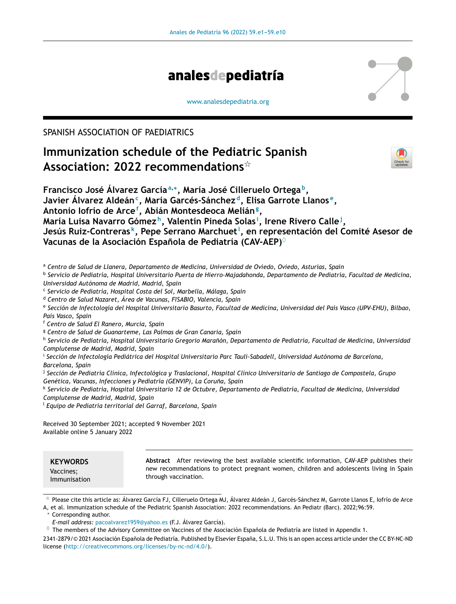

[www.analesdepediatria.org](http://www.analesdepediatria.org)

SPANISH ASSOCIATION OF PAEDIATRICS

# **Immunization schedule of the Pediatric Spanish Association: 2022 recommendations**-



**Francisco José Álvarez García<sup>a</sup>**,<sup>∗</sup> **, María José Cilleruelo Ortega <sup>b</sup> , Javier Álvarez Aldeán<sup>c</sup> , María Garcés-Sánchez <sup>d</sup> , Elisa Garrote Llanos <sup>e</sup> , Antonio Iofrío de Arce<sup>f</sup> , Abián Montesdeoca Melián<sup>g</sup> , María Luisa Navarro Gómez <sup>h</sup> , Valentín Pineda Solas <sup>i</sup> , Irene Rivero Calle<sup>j</sup> , Jesús Ruiz-Contreras <sup>k</sup> , Pepe Serrano Marchuet<sup>l</sup> , en representación del Comité Asesor de Vacunas de la Asociación Espanola ˜ de Pediatría (CAV-AEP)**♦

<sup>a</sup> *Centro de Salud de Llanera, Departamento de Medicina, Universidad de Oviedo, Oviedo, Asturias, Spain*

b *Servicio de Pediatría, Hospital Universitario Puerta de Hierro-Majadahonda, Departamento de Pediatría, Facultad de Medicina, Universidad Autónoma de Madrid, Madrid, Spain*

c *Servicio de Pediatría, Hospital Costa del Sol, Marbella, Málaga, Spain*

<sup>d</sup> *Centro de Salud Nazaret, Área de Vacunas, FISABIO, Valencia, Spain*

<sup>e</sup> Sección de Infectología del Hospital Universitario Basurto, Facultad de Medicina, Universidad del País Vasco (UPV-EHU), Bilbao, *País Vasco, Spain*

<sup>f</sup> *Centro de Salud El Ranero, Murcia, Spain*

<sup>g</sup> *Centro de Salud de Guanarteme, Las Palmas de Gran Canaria, Spain*

<sup>h</sup> Servicio de Pediatría, Hospital Universitario Gregorio Marañón, Departamento de Pediatría, Facultad de Medicina, Universidaa *Complutense de Madrid, Madrid, Spain*

i *Sección de Infectología Pediátrica del Hospital Universitario Parc Tauli-Sabadell, Universidad Autónoma de Barcelona, Barcelona, Spain*

<sup>j</sup> Sección de Pediatría Clínica, Infectológica y Traslacional, Hospital Clínico Universitario de Santiago de Compostela, Grupo *Genética, Vacunas, Infecciones y Pediatría (GENVIP), La Coruna, ˜ Spain*

<sup>k</sup> Servicio de Pediatría, Hospital Universitario 12 de Octubre, Departamento de Pediatría, Facultad de Medicina, Universidaa *Complutense de Madrid, Madrid, Spain*

<sup>l</sup> *Equipo de Pediatría territorial del Garraf, Barcelona, Spain*

Received 30 September 2021; accepted 9 November 2021 Available online 5 January 2022

- Please cite this article as: Álvarez García FJ, Cilleruelo Ortega MJ, Álvarez Aldeán J, Garcés-Sánchez M, Garrote Llanos E, Iofrío de Arce

A, et al. Immunization schedule of the Pediatric Spanish Association: 2022 recommendations. An Pediatr (Barc). 2022;96:59.

Corresponding author.

*E-mail address:* [pacoalvarez1959@yahoo.es](mailto:pacoalvarez1959@yahoo.es) (F.J. Álvarez García).

 $\Diamond$  The members of the Advisory Committee on Vaccines of the Asociación Española de Pediatría are listed in Appendix 1.

2341-2879/© 2021 Asociación Española de Pediatría. Published by Elsevier España, S.L.U. This is an open access article under the CC BY-NC-ND license (<http://creativecommons.org/licenses/by-nc-nd/4.0/>).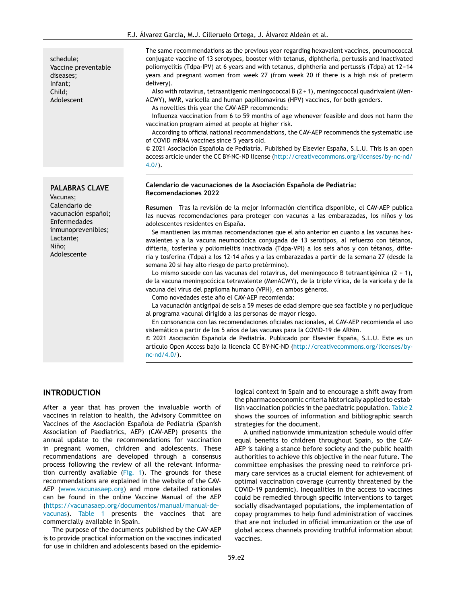schedule; Vaccine preventable diseases; Infant; Child; Adolescent

#### **PALABRAS CLAVE**

Vacunas; Calendario de vacunación español: Enfermedades inmunoprevenibles; Lactante; Niño; Adolescente

The same recommendations as the previous year regarding hexavalent vaccines, pneumococcal conjugate vaccine of 13 serotypes, booster with tetanus, diphtheria, pertussis and inactivated poliomyelitis (Tdpa-IPV) at 6 years and with tetanus, diphtheria and pertussis (Tdpa) at  $12-14$ years and pregnant women from week 27 (from week 20 if there is a high risk of preterm delivery).

Also with rotavirus, tetraantigenic meningococcal B (2 + 1), meningococcal quadrivalent (Men-ACWY), MMR, varicella and human papillomavirus (HPV) vaccines, for both genders.

As novelties this year the CAV-AEP recommends:

Influenza vaccination from 6 to 59 months of age whenever feasible and does not harm the vaccination program aimed at people at higher risk.

According to official national recommendations, the CAV-AEP recommends the systematic use of COVID mRNA vaccines since 5 years old.

© 2021 Asociación Española de Pediatría. Published by Elsevier España, S.L.U. This is an open access article under the CC BY-NC-ND license ([http://creativecommons.org/licenses/by-nc-nd/](http://creativecommons.org/licenses/by-nc-nd/4.0/) [4.0/\)](http://creativecommons.org/licenses/by-nc-nd/4.0/).

#### **Calendario de vacunaciones de la Asociación Espanola ˜ de Pediatría: Recomendaciones 2022**

**Resumen** Tras la revisión de la mejor información científica disponible, el CAV-AEP publica las nuevas recomendaciones para proteger con vacunas a las embarazadas, los niños y los adolescentes residentes en España.

Se mantienen las mismas recomendaciones que el año anterior en cuanto a las vacunas hexavalentes y a la vacuna neumocócica conjugada de 13 serotipos, al refuerzo con tétanos, difteria, tosferina y poliomielitis inactivada (Tdpa-VPI) a los seis años y con tétanos, difteria y tosferina (Tdpa) a los 12-14 años y a las embarazadas a partir de la semana 27 (desde la semana 20 si hay alto riesgo de parto pretérmino).

Lo mismo sucede con las vacunas del rotavirus, del meningococo B tetraantigénica  $(2 + 1)$ , de la vacuna meningocócica tetravalente (MenACWY), de la triple vírica, de la varicela y de la vacuna del virus del papiloma humano (VPH), en ambos géneros.

Como novedades este año el CAV-AEP recomienda:

La vacunación antigripal de seis a 59 meses de edad siempre que sea factible y no perjudique al programa vacunal dirigido a las personas de mayor riesgo.

En consonancia con las recomendaciones oficiales nacionales, el CAV-AEP recomienda el uso sistemático a partir de los 5 años de las vacunas para la COVID-19 de ARNm.

 $© 2021 Asociación Española de Pediatría. Publicado por Elsevier España, S.L.U. Este es un$ artículo Open Access bajo la licencia CC BY-NC-ND [\(http://creativecommons.org/licenses/by](http://creativecommons.org/licenses/by-nc-nd/4.0/)[nc-nd/4.0/](http://creativecommons.org/licenses/by-nc-nd/4.0/)).

#### **INTRODUCTION**

After a year that has proven the invaluable worth of vaccines in relation to health, the Advisory Committee on Vaccines of the Asociación Española de Pediatría (Spanish Association of Paediatrics, AEP) (CAV-AEP) presents the annual update to the recommendations for vaccination in pregnant women, children and adolescents. These recommendations are developed through a consensus process following the review of all the relevant information currently available [\(Fig.](#page-2-0) 1). The grounds for these recommendations are explained in the website of the CAV-AEP ([www.vacunasaep.org\)](https://www.vacunasaep.org) and more detailed rationales can be found in the online Vaccine Manual of the AEP ([https://vacunasaep.org/documentos/manual/manual-de](https://vacunasaep.org/documentos/manual/manual-de-vacunas)[vacunas](https://vacunasaep.org/documentos/manual/manual-de-vacunas)). [Table](#page-4-0) 1 presents the vaccines that are commercially available in Spain.

The purpose of the documents published by the CAV-AEP is to provide practical information on the vaccines indicated for use in children and adolescents based on the epidemio-

logical context in Spain and to encourage a shift away from the pharmacoeconomic criteria historically applied to establish vaccination policies in the paediatric population. [Table](#page-4-0) 2 shows the sources of information and bibliographic search strategies for the document.

A unified nationwide immunization schedule would offer equal benefits to children throughout Spain, so the CAV-AEP is taking a stance before society and the public health authorities to achieve this objective in the near future. The committee emphasises the pressing need to reinforce primary care services as a crucial element for achievement of optimal vaccination coverage (currently threatened by the COVID-19 pandemic). Inequalities in the access to vaccines could be remedied through specific interventions to target socially disadvantaged populations, the implementation of copay programmes to help fund administration of vaccines that are not included in official immunization or the use of global access channels providing truthful information about vaccines.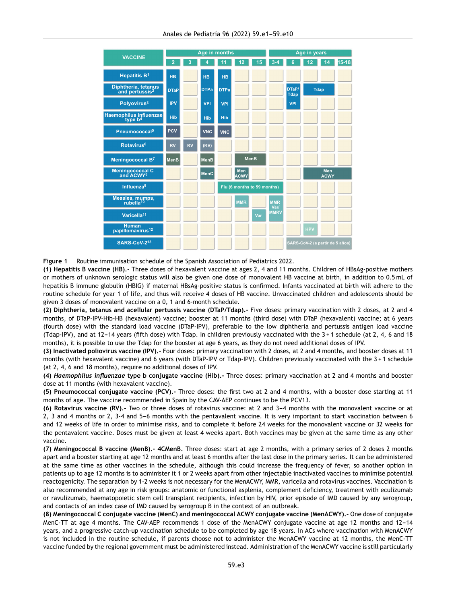<span id="page-2-0"></span>

| <b>VACCINE</b>                                    | Age in months |           |             |             |                             |             | Age in years       |                      |             |                                 |           |
|---------------------------------------------------|---------------|-----------|-------------|-------------|-----------------------------|-------------|--------------------|----------------------|-------------|---------------------------------|-----------|
|                                                   | 2             | 3         |             | 11          | 12                          | 15          | $3 - 4$            | 6                    | 2           | A                               | $15 - 18$ |
| <b>Hepatitis B1</b>                               | <b>HB</b>     |           | <b>HB</b>   | <b>HB</b>   |                             |             |                    |                      |             |                                 |           |
| Diphtheria, tetanus<br>and pertussis <sup>2</sup> | <b>DTaP</b>   |           | <b>DTPa</b> | <b>DTPa</b> |                             |             |                    | DTaP/<br><b>Tdap</b> | <b>Tdap</b> |                                 |           |
| Polyovirus <sup>3</sup>                           | <b>IPV</b>    |           | <b>VPI</b>  | <b>VPI</b>  |                             |             |                    | <b>VPI</b>           |             |                                 |           |
| Haemophilus influenzae<br>type b <sup>4</sup>     | <b>Hib</b>    |           | <b>Hib</b>  | <b>Hib</b>  |                             |             |                    |                      |             |                                 |           |
| Pneumococcal <sup>5</sup>                         | <b>PCV</b>    |           | <b>VNC</b>  | <b>VNC</b>  |                             |             |                    |                      |             |                                 |           |
| Rotavirus <sup>6</sup>                            | <b>RV</b>     | <b>RV</b> | (RV)        |             |                             |             |                    |                      |             |                                 |           |
| Meningococcal B <sup>7</sup>                      | <b>MenB</b>   |           | <b>MenB</b> |             |                             | <b>MenB</b> |                    |                      |             |                                 |           |
| Meningococcal C<br>and ACWY <sup>8</sup>          |               |           | <b>MenC</b> |             | <b>Men</b><br><b>ACWY</b>   |             |                    |                      |             | Men<br><b>ACWY</b>              |           |
| Influenza <sup>9</sup>                            |               |           |             |             | Flu (6 months to 59 months) |             |                    |                      |             |                                 |           |
| Measles, mumps,<br>rubella <sup>10</sup>          |               |           |             |             | <b>MMR</b>                  |             | <b>MMR</b><br>Var/ |                      |             |                                 |           |
| Varicella <sup>11</sup>                           |               |           |             |             |                             | Var         | <b>MMRV</b>        |                      |             |                                 |           |
| <b>Human</b><br>papillomavirus <sup>12</sup>      |               |           |             |             |                             |             |                    |                      | <b>HPV</b>  |                                 |           |
| SARS-CoV-213                                      |               |           |             |             |                             |             |                    |                      |             | SARS-CoV-2 (a partir de 5 años) |           |

**Figure 1** Routine immunisation schedule of the Spanish Association of Pediatrics 2022.

**(1) Hepatitis B vaccine (HB).-** Three doses of hexavalent vaccine at ages 2, 4 and 11 months. Children of HBsAg-positive mothers or mothers of unknown serologic status will also be given one dose of monovalent HB vaccine at birth, in addition to 0.5 mL of hepatitis B immune globulin (HBIG) if maternal HBsAg-positive status is confirmed. Infants vaccinated at birth will adhere to the routine schedule for year 1 of life, and thus will receive 4 doses of HB vaccine. Unvaccinated children and adolescents should be given 3 doses of monovalent vaccine on a 0, 1 and 6-month schedule.

**(2) Diphtheria, tetanus and acellular pertussis vaccine (DTaP/Tdap).-** Five doses: primary vaccination with 2 doses, at 2 and 4 months, of DTaP-IPV-Hib-HB (hexavalent) vaccine; booster at 11 months (third dose) with DTaP (hexavalent) vaccine; at 6 years (fourth dose) with the standard load vaccine (DTaP-IPV), preferable to the low diphtheria and pertussis antigen load vaccine (Tdap-IPV), and at 12-14 years (fifth dose) with Tdap. In children previously vaccinated with the  $3+1$  schedule (at  $2, 4, 6$  and 18 months), it is possible to use the Tdap for the booster at age 6 years, as they do not need additional doses of IPV.

**(3) Inactivated poliovirus vaccine (IPV).-** Four doses: primary vaccination with 2 doses, at 2 and 4 months, and booster doses at 11 months (with hexavalent vaccine) and 6 years (with DTaP-IPV or Tdap-IPV). Children previously vaccinated with the 3+1 schedule (at 2, 4, 6 and 18 months), require no additional doses of IPV.

**(4)** *Haemophilus influenzae* **type b conjugate vaccine (Hib).-** Three doses: primary vaccination at 2 and 4 months and booster dose at 11 months (with hexavalent vaccine).

**(5) Pneumococcal conjugate vaccine (PCV).-** Three doses: the first two at 2 and 4 months, with a booster dose starting at 11 months of age. The vaccine recommended in Spain by the CAV-AEP continues to be the PCV13.

(6) Rotavirus vaccine (RV).- Two or three doses of rotavirus vaccine: at 2 and 3-4 months with the monovalent vaccine or at 2, 3 and 4 months or 2, 3-4 and 5-6 months with the pentavalent vaccine. It is very important to start vaccination between 6 and 12 weeks of life in order to minimise risks, and to complete it before 24 weeks for the monovalent vaccine or 32 weeks for the pentavalent vaccine. Doses must be given at least 4 weeks apart. Both vaccines may be given at the same time as any other vaccine.

**(7) Meningococcal B vaccine (MenB).- 4CMenB.** Three doses: start at age 2 months, with a primary series of 2 doses 2 months apart and a booster starting at age 12 months and at least 6 months after the last dose in the primary series. It can be administered at the same time as other vaccines in the schedule, although this could increase the frequency of fever, so another option in patients up to age 12 months is to administer it 1 or 2 weeks apart from other injectable inactivated vaccines to minimise potential reactogenicity. The separation by 1-2 weeks is not necessary for the MenACWY, MMR, varicella and rotavirus vaccines. Vaccination is also recommended at any age in risk groups: anatomic or functional asplenia, complement deficiency, treatment with eculizumab or ravulizumab, haematopoietic stem cell transplant recipients, infection by HIV, prior episode of IMD caused by any serogroup, and contacts of an index case of IMD caused by serogroup B in the context of an outbreak.

**(8) Meningococcal C conjugate vaccine (MenC) and meningococcal ACWY conjugate vaccine (MenACWY).-** One dose of conjugate MenC-TT at age 4 months. The CAV-AEP recommends 1 dose of the MenACWY conjugate vaccine at age 12 months and 12-14 years, and a progressive catch-up vaccination schedule to be completed by age 18 years. In ACs where vaccination with MenACWY is not included in the routine schedule, if parents choose not to administer the MenACWY vaccine at 12 months, the MenC-TT vaccine funded by the regional government must be administered instead. Administration of the MenACWY vaccine is still particularly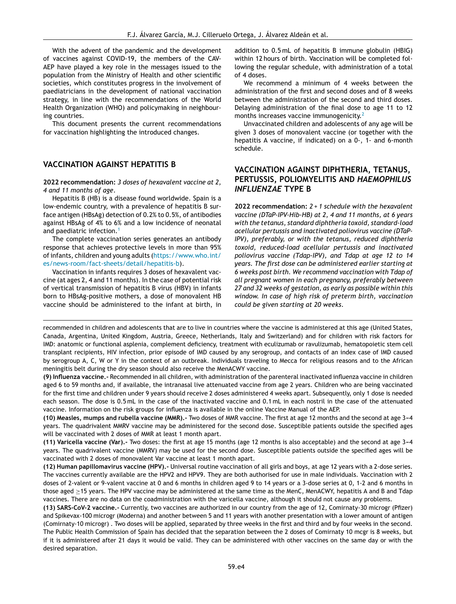With the advent of the pandemic and the development of vaccines against COVID-19, the members of the CAV-AEP have played a key role in the messages issued to the population from the Ministry of Health and other scientific societies, which constitutes progress in the involvement of paediatricians in the development of national vaccination strategy, in line with the recommendations of the World Health Organization (WHO) and policymaking in neighbouring countries.

This document presents the current recommendations for vaccination highlighting the introduced changes.

## **VACCINATION AGAINST HEPATITIS B**

**2022 recommendation:** *3 doses of hexavalent vaccine at 2, 4 and 11 months of age*.

Hepatitis B (HB) is a disease found worldwide. Spain is a low-endemic country, with a prevalence of hepatitis B surface antigen (HBsAg) detection of 0.2% to 0.5%, of antibodies against HBsAg of 4% to 6% and a low incidence of neonatal and paediatric infection.<sup>[1](#page-8-0)</sup>

The complete vaccination series generates an antibody response that achieves protective levels in more than 95% of infants, children and young adults ([https://www.who.int/](https://www.who.int/es/news-room/fact-sheets/detail/hepatitis-b) [es/news-room/fact-sheets/detail/hepatitis-b\)](https://www.who.int/es/news-room/fact-sheets/detail/hepatitis-b).

Vaccination in infants requires 3 doses of hexavalent vaccine (at ages 2, 4 and 11 months). In the case of potential risk of vertical transmission of hepatitis B virus (HBV) in infants born to HBsAg-positive mothers, a dose of monovalent HB vaccine should be administered to the infant at birth, in

addition to 0.5 mL of hepatitis B immune globulin (HBIG) within 12 hours of birth. Vaccination will be completed following the regular schedule, with administration of a total of 4 doses.

We recommend a minimum of 4 weeks between the administration of the first and second doses and of 8 weeks between the administration of the second and third doses. Delaying administration of the final dose to age 11 to 12 months increases vaccine immunogenicity.[2](#page-8-0)

Unvaccinated children and adolescents of any age will be given 3 doses of monovalent vaccine (or together with the hepatitis A vaccine, if indicated) on a 0-, 1- and 6-month schedule.

# **VACCINATION AGAINST DIPHTHERIA, TETANUS, PERTUSSIS, POLIOMYELITIS AND** *HAEMOPHILUS INFLUENZAE* **TYPE B**

**2022 recommendation:** *2 + 1 schedule with the hexavalent vaccine (DTaP-IPV-Hib-HB) at 2, 4 and 11 months, at 6 years with the tetanus, standard diphtheria toxoid, standard-load acellular pertussis and inactivated poliovirus vaccine (DTaP-IPV), preferably, or with the tetanus, reduced diphtheria toxoid, reduced-load acellular pertussis and inactivated poliovirus vaccine (Tdap-IPV), and Tdap at age 12 to 14 years. The first dose can be administered earlier starting at 6 weeks post birth. We recommend vaccination with Tdap of all pregnant women in each pregnancy, preferably between 27 and 32 weeks of gestation, as early as possible within this window. In case of high risk of preterm birth, vaccination could be given starting at 20 weeks*.

recommended in children and adolescents that are to live in countries where the vaccine is administered at this age (United States, Canada, Argentina, United Kingdom, Austria, Greece, Netherlands, Italy and Switzerland) and for children with risk factors for IMD: anatomic or functional asplenia, complement deficiency, treatment with eculizumab or ravulizumab, hematopoietic stem cell transplant recipients, HIV infection, prior episode of IMD caused by any serogroup, and contacts of an index case of IMD caused by serogroup A, C, W or Y in the context of an outbreak. Individuals traveling to Mecca for religious reasons and to the African meningitis belt during the dry season should also receive the MenACWY vaccine.

**(9) Influenza vaccine.-** Recommended in all children, with administration of the parenteral inactivated influenza vaccine in children aged 6 to 59 months and, if available, the intranasal live attenuated vaccine from age 2 years. Children who are being vaccinated for the first time and children under 9 years should receive 2 doses administered 4 weeks apart. Subsequently, only 1 dose is needed each season. The dose is 0.5 mL in the case of the inactivated vaccine and 0.1 mL in each nostril in the case of the attenuated vaccine. Information on the risk groups for influenza is available in the online Vaccine Manual of the AEP.

**(10) Measles, mumps and rubella vaccine (MMR).-** Two doses of MMR vaccine. The first at age 12 months and the second at age 3---4 years. The quadrivalent MMRV vaccine may be administered for the second dose. Susceptible patients outside the specified ages will be vaccinated with 2 doses of MMR at least 1 month apart.

**(11) Varicella vaccine (Var).-** Two doses: the first at age 15 months (age 12 months is also acceptable) and the second at age 3---4 years. The quadrivalent vaccine (MMRV) may be used for the second dose. Susceptible patients outside the specified ages will be vaccinated with 2 doses of monovalent Var vaccine at least 1 month apart.

**(12) Human papillomavirus vaccine (HPV).-** Universal routine vaccination of all girls and boys, at age 12 years with a 2-dose series. The vaccines currently available are the HPV2 and HPV9. They are both authorised for use in male individuals. Vaccination with 2 doses of 2-valent or 9-valent vaccine at 0 and 6 months in children aged 9 to 14 years or a 3-dose series at 0, 1-2 and 6 months in those aged ≥15 years. The HPV vaccine may be administered at the same time as the MenC, MenACWY, hepatitis A and B and Tdap vaccines. There are no data on the coadministration with the varicella vaccine, although it should not cause any problems.

**(13) SARS-CoV-2 vaccine.-** Currently, two vaccines are authorized in our country from the age of 12, Comirnaty-30 microgr (Pfizer) and Spikevax-100 microgr (Moderna) and another between 5 and 11 years with another presentation with a lower amount of antigen (Comirnaty-10 microgr) . Two doses will be applied, separated by three weeks in the first and third and by four weeks in the second. The Public Health Commission of Spain has decided that the separation between the 2 doses of Comirnaty 10 mcgr is 8 weeks, but if it is administered after 21 days it would be valid. They can be administered with other vaccines on the same day or with the desired separation.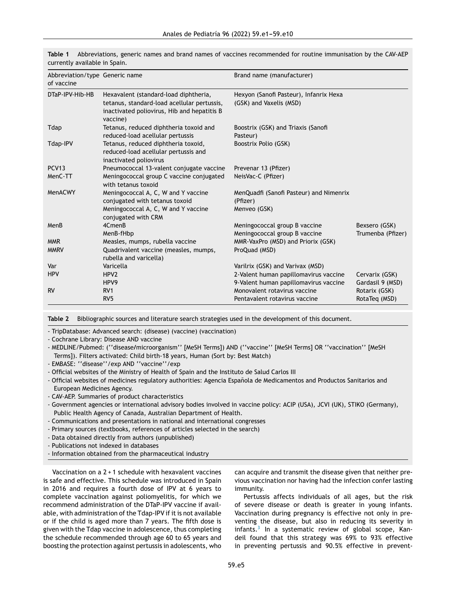| Abbreviation/type Generic name<br>of vaccine |                                                                                                                                                 | Brand name (manufacturer)                                           |                                    |
|----------------------------------------------|-------------------------------------------------------------------------------------------------------------------------------------------------|---------------------------------------------------------------------|------------------------------------|
| DTaP-IPV-Hib-HB                              | Hexavalent (standard-load diphtheria,<br>tetanus, standard-load acellular pertussis,<br>inactivated poliovirus, Hib and hepatitis B<br>vaccine) | Hexyon (Sanofi Pasteur), Infanrix Hexa<br>(GSK) and Vaxelis (MSD)   |                                    |
| Tdap                                         | Tetanus, reduced diphtheria toxoid and<br>reduced-load acellular pertussis                                                                      | Boostrix (GSK) and Triaxis (Sanofi<br>Pasteur)                      |                                    |
| Tdap-IPV                                     | Tetanus, reduced diphtheria toxoid,<br>reduced-load acellular pertussis and<br>inactivated poliovirus                                           | Boostrix Polio (GSK)                                                |                                    |
| PCV <sub>13</sub>                            | Pneumococcal 13-valent conjugate vaccine                                                                                                        | Prevenar 13 (Pfizer)                                                |                                    |
| MenC-TT                                      | Meningococcal group C vaccine conjugated<br>with tetanus toxoid                                                                                 | NeisVac-C (Pfizer)                                                  |                                    |
| MenACWY                                      | Meningococcal A, C, W and Y vaccine<br>conjugated with tetanus toxoid<br>Meningococcal A, C, W and Y vaccine<br>conjugated with CRM             | MenQuadfi (Sanofi Pasteur) and Nimenrix<br>(Pfizer)<br>Menveo (GSK) |                                    |
| MenB                                         | 4CmenB<br>MenB-fHbp                                                                                                                             | Meningococcal group B vaccine<br>Meningococcal group B vaccine      | Bexsero (GSK)<br>Trumenba (Pfizer) |
| <b>MMR</b>                                   | Measles, mumps, rubella vaccine                                                                                                                 | MMR-VaxPro (MSD) and Priorix (GSK)                                  |                                    |
| <b>MMRV</b>                                  | Quadrivalent vaccine (measles, mumps,<br>rubella and varicella)                                                                                 | ProQuad (MSD)                                                       |                                    |
| Var                                          | Varicella                                                                                                                                       | Varilrix (GSK) and Varivax (MSD)                                    |                                    |
| <b>HPV</b>                                   | HPV <sub>2</sub>                                                                                                                                | 2-Valent human papillomavirus vaccine                               | Cervarix (GSK)                     |
|                                              | HPV9                                                                                                                                            | 9-Valent human papillomavirus vaccine                               | Gardasil 9 (MSD)                   |
| <b>RV</b>                                    | RV <sub>1</sub>                                                                                                                                 | Monovalent rotavirus vaccine                                        | Rotarix (GSK)                      |
|                                              | RV <sub>5</sub>                                                                                                                                 | Pentavalent rotavirus vaccine                                       | RotaTeg (MSD)                      |

<span id="page-4-0"></span>**Table 1** Abbreviations, generic names and brand names of vaccines recommended for routine immunisation by the CAV-AEP currently available in Spain.

**Table 2** Bibliographic sources and literature search strategies used in the development of this document.

- TripDatabase: Advanced search: (disease) (vaccine) (vaccination)

- Cochrane Library: Disease AND vaccine

- MEDLINE/Pubmed: (''disease**/**microorganism'' [MeSH Terms]) AND (''vaccine'' [MeSH Terms] OR ''vaccination'' [MeSH Terms]). Filters activated: Child birth-18 years, Human (Sort by: Best Match)

- EMBASE: ''disease''/exp AND ''vaccine''/exp

- Official websites of the Ministry of Health of Spain and the Instituto de Salud Carlos III

- Official websites of medicines regulatory authorities: Agencia Española de Medicamentos and Productos Sanitarios and European Medicines Agency.
- CAV-AEP. Summaries of product characteristics
- Government agencies or international advisory bodies involved in vaccine policy: ACIP (USA), JCVI (UK), STIKO (Germany), Public Health Agency of Canada, Australian Department of Health.
- Communications and presentations in national and international congresses
- Primary sources (textbooks, references of articles selected in the search)
- Data obtained directly from authors (unpublished)
- Publications not indexed in databases
- Information obtained from the pharmaceutical industry

Vaccination on a 2 + 1 schedule with hexavalent vaccines is safe and effective. This schedule was introduced in Spain in 2016 and requires a fourth dose of IPV at 6 years to complete vaccination against poliomyelitis, for which we recommend administration of the DTaP-IPV vaccine if available, with administration of the Tdap-IPV if it is not available or if the child is aged more than 7 years. The fifth dose is given with the Tdap vaccine in adolescence, thus completing the schedule recommended through age 60 to 65 years and boosting the protection against pertussis in adolescents, who

can acquire and transmit the disease given that neither previous vaccination nor having had the infection confer lasting immunity.

Pertussis affects individuals of all ages, but the risk of severe disease or death is greater in young infants. Vaccination during pregnancy is effective not only in preventing the disease, but also in reducing its severity in infants.<sup>[3](#page-8-0)</sup> In a systematic review of global scope, Kandeil found that this strategy was 69% to 93% effective in preventing pertussis and 90.5% effective in prevent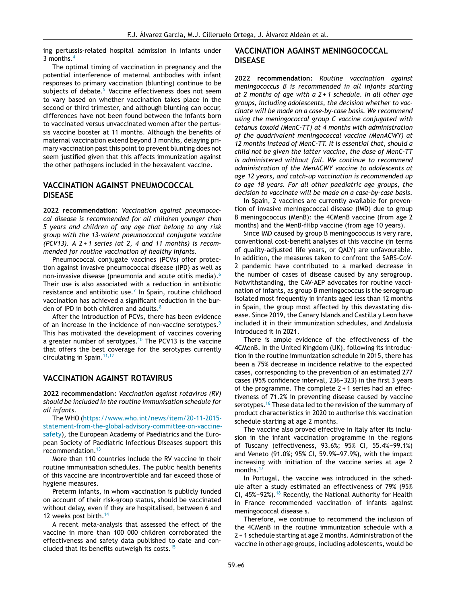ing pertussis-related hospital admission in infants under 3 months.[4](#page-8-0)

The optimal timing of vaccination in pregnancy and the potential interference of maternal antibodies with infant responses to primary vaccination (blunting) continue to be subjects of debate.<sup>[5](#page-8-0)</sup> Vaccine effectiveness does not seem to vary based on whether vaccination takes place in the second or third trimester, and although blunting can occur, differences have not been found between the infants born to vaccinated versus unvaccinated women after the pertussis vaccine booster at 11 months. Although the benefits of maternal vaccination extend beyond 3 months, delaying primary vaccination past this point to prevent blunting does not seem justified given that this affects immunization against the other pathogens included in the hexavalent vaccine.

## **VACCINATION AGAINST PNEUMOCOCCAL DISEASE**

**2022 recommendation:** *Vaccination against pneumococcal disease is recommended for all children younger than 5 years and children of any age that belong to any risk group with the 13-valent pneumococcal conjugate vaccine (PCV13). A 2 + 1 series (at 2, 4 and 11 months) is recommended for routine vaccination of healthy infants*.

Pneumococcal conjugate vaccines (PCVs) offer protection against invasive pneumococcal disease (IPD) as well as non-invasive disease (pneumonia and acute otitis media).<sup>[6](#page-8-0)</sup> Their use is also associated with a reduction in antibiotic resistance and antibiotic use. $^7$  $^7$  In Spain, routine childhood vaccination has achieved a significant reduction in the bur-den of IPD in both children and adults.<sup>[8](#page-8-0)</sup>

After the introduction of PCVs, there has been evidence of an increase in the incidence of non-vaccine serotypes.<sup>[9](#page-8-0)</sup> This has motivated the development of vaccines covering a greater number of serotypes.<sup>[10](#page-8-0)</sup> The PCV13 is the vaccine that offers the best coverage for the serotypes currently circulating in Spain.<sup>[11,12](#page-8-0)</sup>

#### **VACCINATION AGAINST ROTAVIRUS**

**2022 recommendation:** *Vaccination against rotavirus (RV) should be included in the routine immunisation schedule for all infants*.

The WHO [\(https://www.who.int/news/item/20-11-2015](https://www.who.int/news/item/20-11-2015-statement-from-the-global-advisory-committee-on-vaccine-safety) [statement-from-the-global-advisory-committee-on-vaccine](https://www.who.int/news/item/20-11-2015-statement-from-the-global-advisory-committee-on-vaccine-safety)[safety](https://www.who.int/news/item/20-11-2015-statement-from-the-global-advisory-committee-on-vaccine-safety)), the European Academy of Paediatrics and the European Society of Paediatric Infectious Diseases support this recommendation.<sup>[13](#page-8-0)</sup>

More than 110 countries include the RV vaccine in their routine immunisation schedules. The public health benefits of this vaccine are incontrovertible and far exceed those of hygiene measures.

Preterm infants, in whom vaccination is publicly funded on account of their risk-group status, should be vaccinated without delay, even if they are hospitalised, between 6 and 12 weeks post birth.<sup>[14](#page-8-0)</sup>

A recent meta-analysis that assessed the effect of the vaccine in more than 100 000 children corroborated the effectiveness and safety data published to date and concluded that its benefits outweigh its costs.[15](#page-8-0)

## **VACCINATION AGAINST MENINGOCOCCAL DISEASE**

**2022 recommendation:** *Routine vaccination against meningococcus B is recommended in all infants starting at 2 months of age with a 2 + 1 schedule. In all other age groups, including adolescents, the decision whether to vaccinate will be made on a case-by-case basis. We recommend using the meningococcal group C vaccine conjugated with tetanus toxoid (MenC-TT) at 4 months with administration of the quadrivalent meningococcal vaccine (MenACWY) at 12 months instead of MenC-TT. It is essential that, should a child not be given the latter vaccine, the dose of MenC-TT is administered without fail. We continue to recommend administration of the MenACWY vaccine to adolescents at age 12 years, and catch-up vaccination is recommended up to age 18 years. For all other paediatric age groups, the decision to vaccinate will be made on a case-by-case basis*.

In Spain, 2 vaccines are currently available for prevention of invasive meningococcal disease (IMD) due to group B meningococcus (MenB): the 4CMenB vaccine (from age 2 months) and the MenB-fHbp vaccine (from age 10 years).

Since IMD caused by group B meningococcus is very rare, conventional cost-benefit analyses of this vaccine (in terms of quality-adjusted life years, or QALY) are unfavourable. In addition, the measures taken to confront the SARS-CoV-2 pandemic have contributed to a marked decrease in the number of cases of disease caused by any serogroup. Notwithstanding, the CAV-AEP advocates for routine vaccination of infants, as group B meningococcus is the serogroup isolated most frequently in infants aged less than 12 months in Spain, the group most affected by this devastating disease. Since 2019, the Canary Islands and Castilla y Leon have included it in their immunization schedules, and Andalusia introduced it in 2021.

There is ample evidence of the effectiveness of the 4CMenB. In the United Kingdom (UK), following its introduction in the routine immunization schedule in 2015, there has been a 75% decrease in incidence relative to the expected cases, corresponding to the prevention of an estimated 277 cases (95% confidence interval, 236-323) in the first 3 years of the programme. The complete 2 + 1 series had an effectiveness of 71.2% in preventing disease caused by vaccine serotypes.<sup>[16](#page-9-0)</sup> These data led to the revision of the summary of product characteristics in 2020 to authorise this vaccination schedule starting at age 2 months.

The vaccine also proved effective in Italy after its inclusion in the infant vaccination programme in the regions of Tuscany (effectiveness, 93.6%; 95% CI, 55.4%-99.1%) and Veneto (91.0%; 95% CI, 59.9%-97.9%), with the impact increasing with initiation of the vaccine series at age 2 months.<sup>[17](#page-9-0)</sup>

In Portugal, the vaccine was introduced in the schedule after a study estimated an effectiveness of 79% (95% CI,  $45\% - 92\%$ ).<sup>[18](#page-9-0)</sup> Recently, the National Authority for Health in France recommended vaccination of infants against meningococcal disease s.

Therefore, we continue to recommend the inclusion of the 4CMenB in the routine immunization schedule with a  $2 + 1$  schedule starting at age 2 months. Administration of the vaccine in other age groups, including adolescents, would be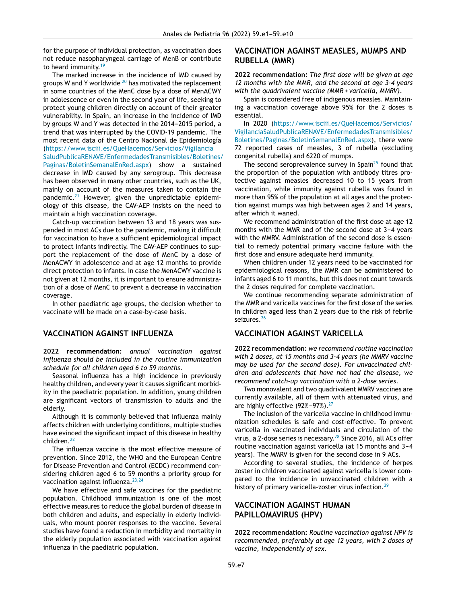for the purpose of individual protection, as vaccination does not reduce nasopharyngeal carriage of MenB or contribute to heard immunity.<sup>[19](#page-9-0)</sup>

The marked increase in the incidence of IMD caused by groups W and Y worldwide  $20$  has motivated the replacement in some countries of the MenC dose by a dose of MenACWY in adolescence or even in the second year of life, seeking to protect young children directly on account of their greater vulnerability. In Spain, an increase in the incidence of IMD by groups W and Y was detected in the 2014-2015 period, a trend that was interrupted by the COVID-19 pandemic. The most recent data of the Centro Nacional de Epidemiología ([https://www.isciii.es/QueHacemos/Servicios/Vigilancia](https://www.isciii.es/QueHacemos/Servicios/VigilanciaSaludPublicaRENAVE/EnfermedadesTransmisibles/Boletines/Paginas/BoletinSemanalEnRed.aspx)

[SaludPublicaRENAVE/EnfermedadesTransmisibles/Boletines/](https://www.isciii.es/QueHacemos/Servicios/VigilanciaSaludPublicaRENAVE/EnfermedadesTransmisibles/Boletines/Paginas/BoletinSemanalEnRed.aspx)

[Paginas/BoletinSemanalEnRed.aspx](https://www.isciii.es/QueHacemos/Servicios/VigilanciaSaludPublicaRENAVE/EnfermedadesTransmisibles/Boletines/Paginas/BoletinSemanalEnRed.aspx)) show a sustained decrease in IMD caused by any serogroup. This decrease has been observed in many other countries, such as the UK, mainly on account of the measures taken to contain the pandemic. $21$  However, given the unpredictable epidemiology of this disease, the CAV-AEP insists on the need to maintain a high vaccination coverage.

Catch-up vaccination between 13 and 18 years was suspended in most ACs due to the pandemic, making it difficult for vaccination to have a sufficient epidemiological impact to protect infants indirectly. The CAV-AEP continues to support the replacement of the dose of MenC by a dose of MenACWY in adolescence and at age 12 months to provide direct protection to infants. In case the MenACWY vaccine is not given at 12 months, it is important to ensure administration of a dose of MenC to prevent a decrease in vaccination coverage.

In other paediatric age groups, the decision whether to vaccinate will be made on a case-by-case basis.

## **VACCINATION AGAINST INFLUENZA**

**2022 recommendation:** *annual vaccination against influenza should be included in the routine immunization schedule for all children aged 6 to 59 months*.

Seasonal influenza has a high incidence in previously healthy children, and every year it causes significant morbidity in the paediatric population. In addition, young children are significant vectors of transmission to adults and the elderly.

Although it is commonly believed that influenza mainly affects children with underlying conditions, multiple studies have evinced the significant impact of this disease in healthy children.[22](#page-9-0)

The influenza vaccine is the most effective measure of prevention. Since 2012, the WHO and the European Centre for Disease Prevention and Control (ECDC) recommend considering children aged 6 to 59 months a priority group for vaccination against influenza.<sup>[23,24](#page-9-0)</sup>

We have effective and safe vaccines for the paediatric population. Childhood immunization is one of the most effective measures to reduce the global burden of disease in both children and adults, and especially in elderly individuals, who mount poorer responses to the vaccine. Several studies have found a reduction in morbidity and mortality in the elderly population associated with vaccination against influenza in the paediatric population.

# **VACCINATION AGAINST MEASLES, MUMPS AND RUBELLA (MMR)**

**2022 recommendation:** *The first dose will be given at age 12 months with the MMR, and the second at age 3-4 years with the quadrivalent vaccine (MMR + varicella, MMRV)*.

Spain is considered free of indigenous measles. Maintaining a vaccination coverage above 95% for the 2 doses is essential.

In 2020 [\(https://www.isciii.es/QueHacemos/Servicios/](https://www.isciii.es/QueHacemos/Servicios/VigilanciaSaludPublicaRENAVE/EnfermedadesTransmisibles/Boletines/Paginas/BoletinSemanalEnRed.aspx) [VigilanciaSaludPublicaRENAVE/EnfermedadesTransmisibles/](https://www.isciii.es/QueHacemos/Servicios/VigilanciaSaludPublicaRENAVE/EnfermedadesTransmisibles/Boletines/Paginas/BoletinSemanalEnRed.aspx) [Boletines/Paginas/BoletinSemanalEnRed.aspx](https://www.isciii.es/QueHacemos/Servicios/VigilanciaSaludPublicaRENAVE/EnfermedadesTransmisibles/Boletines/Paginas/BoletinSemanalEnRed.aspx)), there were 72 reported cases of measles, 3 of rubella (excluding congenital rubella) and 6220 of mumps.

The second seroprevalence survey in Spain $25$  found that the proportion of the population with antibody titres protective against measles decreased 10 to 15 years from vaccination, while immunity against rubella was found in more than 95% of the population at all ages and the protection against mumps was high between ages 2 and 14 years, after which it waned.

We recommend administration of the first dose at age 12 months with the MMR and of the second dose at 3-4 years with the MMRV. Administration of the second dose is essential to remedy potential primary vaccine failure with the first dose and ensure adequate herd immunity.

When children under 12 years need to be vaccinated for epidemiological reasons, the MMR can be administered to infants aged 6 to 11 months, but this does not count towards the 2 doses required for complete vaccination.

We continue recommending separate administration of the MMR and varicella vaccines for the first dose of the series in children aged less than 2 years due to the risk of febrile seizures.<sup>[26](#page-9-0)</sup>

## **VACCINATION AGAINST VARICELLA**

**2022 recommendation:** *we recommend routine vaccination with 2 doses, at 15 months and 3-4 years (he MMRV vaccine may be used for the second dose). For unvaccinated children and adolescents that have not had the disease, we recommend catch-up vaccination with a 2-dose series*.

Two monovalent and two quadrivalent MMRV vaccines are currently available, all of them with attenuated virus, and are highly effective  $(92\% - 97\%)$ .<sup>[27](#page-9-0)</sup>

The inclusion of the varicella vaccine in childhood immunization schedules is safe and cost-effective. To prevent varicella in vaccinated individuals and circulation of the virus, a 2-dose series is necessary.<sup>[28](#page-9-0)</sup> Since 2016, all ACs offer routine vaccination against varicella (at 15 months and 3-4 years). The MMRV is given for the second dose in 9 ACs.

According to several studies, the incidence of herpes zoster in children vaccinated against varicella is lower compared to the incidence in unvaccinated children with a history of primary varicella-zoster virus infection.<sup>[29](#page-9-0)</sup>

# **VACCINATION AGAINST HUMAN PAPILLOMAVIRUS (HPV)**

**2022 recommendation:** *Routine vaccination against HPV is recommended, preferably at age 12 years, with 2 doses of vaccine, independently of sex*.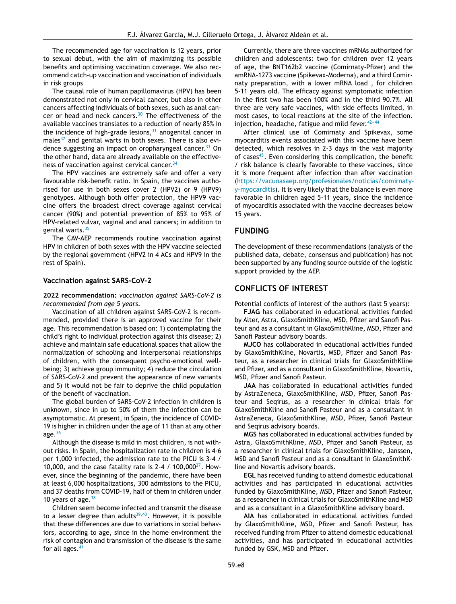The recommended age for vaccination is 12 years, prior to sexual debut, with the aim of maximizing its possible benefits and optimising vaccination coverage. We also recommend catch-up vaccination and vaccination of individuals in risk groups

The causal role of human papillomavirus (HPV) has been demonstrated not only in cervical cancer, but also in other cancers affecting individuals of both sexes, such as anal cancer or head and neck cancers.[30](#page-9-0) The effectiveness of the available vaccines translates to a reduction of nearly 85% in the incidence of high-grade lesions,  $31$  anogenital cancer in  $males<sup>32</sup>$  $males<sup>32</sup>$  $males<sup>32</sup>$  and genital warts in both sexes. There is also evi-dence suggesting an impact on oropharyngeal cancer.<sup>[33](#page-9-0)</sup> On the other hand, data are already available on the effective-ness of vaccination against cervical cancer.<sup>[34](#page-9-0)</sup>

The HPV vaccines are extremely safe and offer a very favourable risk-benefit ratio. In Spain, the vaccines authorised for use in both sexes cover 2 (HPV2) or 9 (HPV9) genotypes. Although both offer protection, the HPV9 vaccine offers the broadest direct coverage against cervical cancer (90%) and potential prevention of 85% to 95% of HPV-related vulvar, vaginal and anal cancers; in addition to genital warts.<sup>[35](#page-9-0)</sup>

The CAV-AEP recommends routine vaccination against HPV in children of both sexes with the HPV vaccine selected by the regional government (HPV2 in 4 ACs and HPV9 in the rest of Spain).

#### **Vaccination against SARS-CoV-2**

**2022 recommendation:** *vaccination against SARS-CoV-2 is recommended from age 5 years*.

Vaccination of all children against SARS-CoV-2 is recommended, provided there is an approved vaccine for their age. This recommendation is based on: 1) contemplating the child's right to individual protection against this disease; 2) achieve and maintain safe educational spaces that allow the normalization of schooling and interpersonal relationships of children, with the consequent psycho-emotional wellbeing; 3) achieve group immunity; 4) reduce the circulation of SARS-CoV-2 and prevent the appearance of new variants and 5) it would not be fair to deprive the child population of the benefit of vaccination.

The global burden of SARS-CoV-2 infection in children is unknown, since in up to 50% of them the infection can be asymptomatic. At present, in Spain, the incidence of COVID-19 is higher in children under the age of 11 than at any other age. $36$ 

Although the disease is mild in most children, is not without risks. In Spain, the hospitalization rate in children is 4-6 per 1,000 infected, the admission rate to the PICU is 3-4 / 10,000, and the case fatality rate is 2-4 / 100,000 $^{37}$  $^{37}$  $^{37}$ . However, since the beginning of the pandemic, there have been at least 6,000 hospitalizations, 300 admissions to the PICU, and 37 deaths from COVID-19, half of them in children under 10 years of age. $38$ 

Children seem become infected and transmit the disease to a lesser degree than adults<sup>[39,40](#page-9-0)</sup>. However, it is possible that these differences are due to variations in social behaviors, according to age, since in the home environment the risk of contagion and transmission of the disease is the same for all ages. $41$ 

Currently, there are three vaccines mRNAs authorized for children and adolescents: two for children over 12 years of age, the BNT162b2 vaccine (Comirnaty-Pfizer) and the amRNA-1273 vaccine (Spikevax-Moderna), and a third Comirnaty preparation, with a lower mRNA load , for children 5-11 years old. The efficacy against symptomatic infection in the first two has been 100% and in the third 90.7%. All three are very safe vaccines, with side effects limited, in most cases, to local reactions at the site of the infection. injection, headache, fatigue and mild fever. $42-44$ 

After clinical use of Comirnaty and Spikevax, some myocarditis events associated with this vaccine have been detected, which resolves in 2-3 days in the vast majority of cases<sup>[45](#page-9-0)</sup>. Even considering this complication, the benefit / risk balance is clearly favorable to these vaccines, since it is more frequent after infection than after vaccination ([https://vacunasaep.org/profesionales/noticias/comirnaty](https://vacunasaep.org/profesionales/noticias/comirnaty-y-myocarditis)[y-myocarditis\)](https://vacunasaep.org/profesionales/noticias/comirnaty-y-myocarditis). It is very likely that the balance is even more favorable in children aged 5-11 years, since the incidence of myocarditis associated with the vaccine decreases below 15 years.

## **FUNDING**

The development of these recommendations (analysis of the published data, debate, consensus and publication) has not been supported by any funding source outside of the logistic support provided by the AEP.

# **CONFLICTS OF INTEREST**

Potential conflicts of interest of the authors (last 5 years):

**FJAG** has collaborated in educational activities funded by Alter, Astra, GlaxoSmithKline, MSD, Pfizer and Sanofi Pasteur and as a consultant in GlaxoSmithKline, MSD, Pfizer and Sanofi Pasteur advisory boards.

**MJCO** has collaborated in educational activities funded by GlaxoSmithKline, Novartis, MSD, Pfizer and Sanofi Pasteur, as a researcher in clinical trials for GlaxoSmithKline and Pfizer, and as a consultant in GlaxoSmithKline, Novartis, MSD, Pfizer and Sanofi Pasteur.

**JAA** has collaborated in educational activities funded by AstraZeneca, GlaxoSmithKline, MSD, Pfizer, Sanofi Pasteur and Seqirus, as a researcher in clinical trials for GlaxoSmithKline and Sanofi Pasteur and as a consultant in AstraZeneca, GlaxoSmithKline, MSD, Pfizer, Sanofi Pasteur and Seqirus advisory boards.

**MGS** has collaborated in educational activities funded by Astra, GlaxoSmithKline, MSD, Pfizer and Sanofi Pasteur, as a researcher in clinical trials for GlaxoSmithKline, Janssen, MSD and Sanofi Pasteur and as a consultant in GlaxoSmithKline and Novartis advisory boards.

**EGL** has received funding to attend domestic educational activities and has participated in educational activities funded by GlaxoSmithKline, MSD, Pfizer and Sanofi Pasteur, as a researcher in clinical trials for GlaxoSmithKline and MSD and as a consultant in a GlaxoSmithKline advisory board.

**AIA** has collaborated in educational activities funded by GlaxoSmithKline, MSD, Pfizer and Sanofi Pasteur, has received funding from Pfizer to attend domestic educational activities, and has participated in educational activities funded by GSK, MSD and Pfizer**.**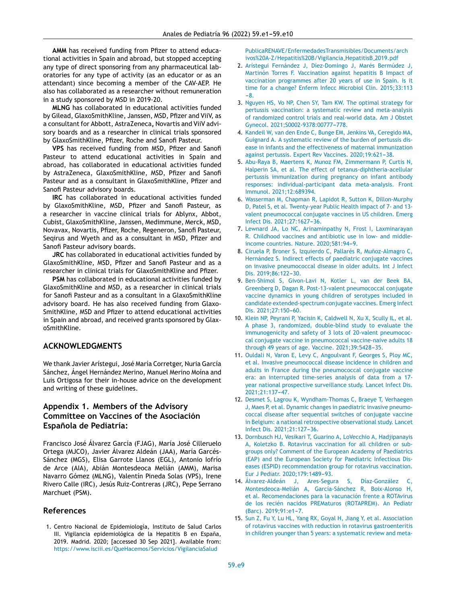<span id="page-8-0"></span>**AMM** has received funding from Pfizer to attend educational activities in Spain and abroad, but stopped accepting any type of direct sponsoring from any pharmaceutical laboratories for any type of activity (as an educator or as an attendant) since becoming a member of the CAV-AEP. He also has collaborated as a researcher without remuneration in a study sponsored by MSD in 2019-20.

**MLNG** has collaborated in educational activities funded by Gilead, GlaxoSmithKline, Janssen, MSD, Pfizer and ViiV, as a consultant for Abbott, AstraZeneca**,** Novartis and ViiV advisory boards and as a researcher in clinical trials sponsored by GlaxoSmithKline, Pfizer, Roche and Sanofi Pasteur.

**VPS** has received funding from MSD, Pfizer and Sanofi Pasteur to attend educational activities in Spain and abroad, has collaborated in educational activities funded by AstraZeneca, GlaxoSmithKline, MSD, Pfizer and Sanofi Pasteur and as a consultant in GlaxoSmithKline, Pfizer and Sanofi Pasteur advisory boards.

**IRC** has collaborated in educational activities funded by GlaxoSmithKline, MSD, Pfizer and Sanofi Pasteur, as a researcher in vaccine clinical trials for Ablynx, Abbot, Cubist, GlaxoSmithKline, Janssen, Medimmune, Merck, MSD, Novavax, Novartis, Pfizer, Roche, Regeneron, Sanofi Pasteur, Seqirus and Wyeth and as a consultant in MSD, Pfizer and Sanofi Pasteur advisory boards.

**JRC** has collaborated in educational activities funded by GlaxoSmithKline, MSD, Pfizer and Sanofi Pasteur and as a researcher in clinical trials for GlaxoSmithKline and Pfizer.

**PSM** has collaborated in educational activities funded by GlaxoSmithKline and MSD, as a researcher in clinical trials for Sanofi Pasteur and as a consultant in a GlaxoSmithKline advisory board. He has also received funding from Glaxo-SmithKline, MSD and Pfizer to attend educational activities in Spain and abroad, and received grants sponsored by GlaxoSmithKline.

# **ACKNOWLEDGMENTS**

We thank Javier Arístegui, José María Corretger, Nuria García Sánchez, Ángel Hernández Merino, Manuel Merino Moína and Luis Ortigosa for their in-house advice on the development and writing of these guidelines.

## **Appendix 1. Members of the Advisory Committee on Vaccines of the Asociación Espanola ˜ de Pediatría:**

Francisco José Álvarez García (FJAG), María José Cilleruelo Ortega (MJCO), Javier Álvarez Aldeán (JAA), María Garcés-Sánchez (MGS), Elisa Garrote Llanos (EGL), Antonio Iofrío de Arce (AIA), Abián Montesdeoca Melián (AMM), Marisa Navarro Gómez (MLNG), Valentín Pineda Solas (VPS), Irene Rivero Calle (IRC), Jesús Ruiz-Contreras (JRC), Pepe Serrano Marchuet (PSM).

#### **References**

1. Centro Nacional de Epidemiología, Instituto de Salud Carlos III. Vigilancia epidemiológica de la Hepatitis B en España, 2019. Madrid. 2020; [accessed 30 Sep 2021]. Available from: [https://www.isciii.es/QueHacemos/Servicios/VigilanciaSalud](https://www.isciii.es/QueHacemos/Servicios/VigilanciaSaludPublicaRENAVE/EnfermedadesTransmisibles/Documents/archivos A-Z/Hepatitis B/Vigilancia_HepatitisB_2019.pdf)

[PublicaRENAVE/EnfermedadesTransmisibles/Documents/arch](https://www.isciii.es/QueHacemos/Servicios/VigilanciaSaludPublicaRENAVE/EnfermedadesTransmisibles/Documents/archivos A-Z/Hepatitis B/Vigilancia_HepatitisB_2019.pdf) [ivos%20A-Z/Hepatitis%20B/Vigilancia](https://www.isciii.es/QueHacemos/Servicios/VigilanciaSaludPublicaRENAVE/EnfermedadesTransmisibles/Documents/archivos A-Z/Hepatitis B/Vigilancia_HepatitisB_2019.pdf) HepatitisB 2019.pdf

- 2. [Arístegui](http://refhub.elsevier.com/S2341-2879(21)00213-1/sbref0235) [Fernández](http://refhub.elsevier.com/S2341-2879(21)00213-1/sbref0235) [J,](http://refhub.elsevier.com/S2341-2879(21)00213-1/sbref0235) [Díez-Domingo](http://refhub.elsevier.com/S2341-2879(21)00213-1/sbref0235) [J,](http://refhub.elsevier.com/S2341-2879(21)00213-1/sbref0235) [Marés](http://refhub.elsevier.com/S2341-2879(21)00213-1/sbref0235) [Bermúdez](http://refhub.elsevier.com/S2341-2879(21)00213-1/sbref0235) [J,](http://refhub.elsevier.com/S2341-2879(21)00213-1/sbref0235) [Martinón](http://refhub.elsevier.com/S2341-2879(21)00213-1/sbref0235) [Torres](http://refhub.elsevier.com/S2341-2879(21)00213-1/sbref0235) [F.](http://refhub.elsevier.com/S2341-2879(21)00213-1/sbref0235) [Vaccination](http://refhub.elsevier.com/S2341-2879(21)00213-1/sbref0235) [against](http://refhub.elsevier.com/S2341-2879(21)00213-1/sbref0235) [hepatitis](http://refhub.elsevier.com/S2341-2879(21)00213-1/sbref0235) [B](http://refhub.elsevier.com/S2341-2879(21)00213-1/sbref0235) [Impact](http://refhub.elsevier.com/S2341-2879(21)00213-1/sbref0235) [of](http://refhub.elsevier.com/S2341-2879(21)00213-1/sbref0235) [vaccination](http://refhub.elsevier.com/S2341-2879(21)00213-1/sbref0235) [programmes](http://refhub.elsevier.com/S2341-2879(21)00213-1/sbref0235) [after](http://refhub.elsevier.com/S2341-2879(21)00213-1/sbref0235) [20](http://refhub.elsevier.com/S2341-2879(21)00213-1/sbref0235) [years](http://refhub.elsevier.com/S2341-2879(21)00213-1/sbref0235) [of](http://refhub.elsevier.com/S2341-2879(21)00213-1/sbref0235) [use](http://refhub.elsevier.com/S2341-2879(21)00213-1/sbref0235) [in](http://refhub.elsevier.com/S2341-2879(21)00213-1/sbref0235) [Spain.](http://refhub.elsevier.com/S2341-2879(21)00213-1/sbref0235) [Is](http://refhub.elsevier.com/S2341-2879(21)00213-1/sbref0235) [it](http://refhub.elsevier.com/S2341-2879(21)00213-1/sbref0235) [time](http://refhub.elsevier.com/S2341-2879(21)00213-1/sbref0235) [for](http://refhub.elsevier.com/S2341-2879(21)00213-1/sbref0235) [a](http://refhub.elsevier.com/S2341-2879(21)00213-1/sbref0235) [change?](http://refhub.elsevier.com/S2341-2879(21)00213-1/sbref0235) [Enferm](http://refhub.elsevier.com/S2341-2879(21)00213-1/sbref0235) [Infecc](http://refhub.elsevier.com/S2341-2879(21)00213-1/sbref0235) [Microbiol](http://refhub.elsevier.com/S2341-2879(21)00213-1/sbref0235) [Clin.](http://refhub.elsevier.com/S2341-2879(21)00213-1/sbref0235) [2015;33:113](http://refhub.elsevier.com/S2341-2879(21)00213-1/sbref0235)  $-8$
- 3. [Nguyen](http://refhub.elsevier.com/S2341-2879(21)00213-1/sbref0240) [HS,](http://refhub.elsevier.com/S2341-2879(21)00213-1/sbref0240) [Vo](http://refhub.elsevier.com/S2341-2879(21)00213-1/sbref0240) [NP,](http://refhub.elsevier.com/S2341-2879(21)00213-1/sbref0240) [Chen](http://refhub.elsevier.com/S2341-2879(21)00213-1/sbref0240) [SY,](http://refhub.elsevier.com/S2341-2879(21)00213-1/sbref0240) [Tam](http://refhub.elsevier.com/S2341-2879(21)00213-1/sbref0240) [KW.](http://refhub.elsevier.com/S2341-2879(21)00213-1/sbref0240) [The](http://refhub.elsevier.com/S2341-2879(21)00213-1/sbref0240) [optimal](http://refhub.elsevier.com/S2341-2879(21)00213-1/sbref0240) [strategy](http://refhub.elsevier.com/S2341-2879(21)00213-1/sbref0240) [for](http://refhub.elsevier.com/S2341-2879(21)00213-1/sbref0240) [pertussis](http://refhub.elsevier.com/S2341-2879(21)00213-1/sbref0240) [vaccination:](http://refhub.elsevier.com/S2341-2879(21)00213-1/sbref0240) [a](http://refhub.elsevier.com/S2341-2879(21)00213-1/sbref0240) [systematic](http://refhub.elsevier.com/S2341-2879(21)00213-1/sbref0240) [review](http://refhub.elsevier.com/S2341-2879(21)00213-1/sbref0240) [and](http://refhub.elsevier.com/S2341-2879(21)00213-1/sbref0240) [meta-analysis](http://refhub.elsevier.com/S2341-2879(21)00213-1/sbref0240) [of](http://refhub.elsevier.com/S2341-2879(21)00213-1/sbref0240) [randomized](http://refhub.elsevier.com/S2341-2879(21)00213-1/sbref0240) [control](http://refhub.elsevier.com/S2341-2879(21)00213-1/sbref0240) [trials](http://refhub.elsevier.com/S2341-2879(21)00213-1/sbref0240) [and](http://refhub.elsevier.com/S2341-2879(21)00213-1/sbref0240) [real-world](http://refhub.elsevier.com/S2341-2879(21)00213-1/sbref0240) [data.](http://refhub.elsevier.com/S2341-2879(21)00213-1/sbref0240) [Am](http://refhub.elsevier.com/S2341-2879(21)00213-1/sbref0240) [J](http://refhub.elsevier.com/S2341-2879(21)00213-1/sbref0240) [Obstet](http://refhub.elsevier.com/S2341-2879(21)00213-1/sbref0240) [Gynecol.](http://refhub.elsevier.com/S2341-2879(21)00213-1/sbref0240) 2021:S0002-9378:00777-778.
- 4. [Kandeil](http://refhub.elsevier.com/S2341-2879(21)00213-1/sbref0245) [W,](http://refhub.elsevier.com/S2341-2879(21)00213-1/sbref0245) [van](http://refhub.elsevier.com/S2341-2879(21)00213-1/sbref0245) [den](http://refhub.elsevier.com/S2341-2879(21)00213-1/sbref0245) [Ende](http://refhub.elsevier.com/S2341-2879(21)00213-1/sbref0245) [C,](http://refhub.elsevier.com/S2341-2879(21)00213-1/sbref0245) [Bunge](http://refhub.elsevier.com/S2341-2879(21)00213-1/sbref0245) [EM,](http://refhub.elsevier.com/S2341-2879(21)00213-1/sbref0245) [Jenkins](http://refhub.elsevier.com/S2341-2879(21)00213-1/sbref0245) [VA,](http://refhub.elsevier.com/S2341-2879(21)00213-1/sbref0245) [Ceregido](http://refhub.elsevier.com/S2341-2879(21)00213-1/sbref0245) [MA,](http://refhub.elsevier.com/S2341-2879(21)00213-1/sbref0245) [Guignard](http://refhub.elsevier.com/S2341-2879(21)00213-1/sbref0245) [A.](http://refhub.elsevier.com/S2341-2879(21)00213-1/sbref0245) [A](http://refhub.elsevier.com/S2341-2879(21)00213-1/sbref0245) [systematic](http://refhub.elsevier.com/S2341-2879(21)00213-1/sbref0245) [review](http://refhub.elsevier.com/S2341-2879(21)00213-1/sbref0245) [of](http://refhub.elsevier.com/S2341-2879(21)00213-1/sbref0245) [the](http://refhub.elsevier.com/S2341-2879(21)00213-1/sbref0245) [burden](http://refhub.elsevier.com/S2341-2879(21)00213-1/sbref0245) [of](http://refhub.elsevier.com/S2341-2879(21)00213-1/sbref0245) [pertussis](http://refhub.elsevier.com/S2341-2879(21)00213-1/sbref0245) [dis](http://refhub.elsevier.com/S2341-2879(21)00213-1/sbref0245)[ease](http://refhub.elsevier.com/S2341-2879(21)00213-1/sbref0245) [in](http://refhub.elsevier.com/S2341-2879(21)00213-1/sbref0245) [infants](http://refhub.elsevier.com/S2341-2879(21)00213-1/sbref0245) [and](http://refhub.elsevier.com/S2341-2879(21)00213-1/sbref0245) [the](http://refhub.elsevier.com/S2341-2879(21)00213-1/sbref0245) [effectiveness](http://refhub.elsevier.com/S2341-2879(21)00213-1/sbref0245) [of](http://refhub.elsevier.com/S2341-2879(21)00213-1/sbref0245) [maternal](http://refhub.elsevier.com/S2341-2879(21)00213-1/sbref0245) [immunization](http://refhub.elsevier.com/S2341-2879(21)00213-1/sbref0245) [against](http://refhub.elsevier.com/S2341-2879(21)00213-1/sbref0245) [pertussis.](http://refhub.elsevier.com/S2341-2879(21)00213-1/sbref0245) [Expert](http://refhub.elsevier.com/S2341-2879(21)00213-1/sbref0245) [Rev](http://refhub.elsevier.com/S2341-2879(21)00213-1/sbref0245) [Vaccines.](http://refhub.elsevier.com/S2341-2879(21)00213-1/sbref0245) [2020;19:621](http://refhub.elsevier.com/S2341-2879(21)00213-1/sbref0245)-[38.](http://refhub.elsevier.com/S2341-2879(21)00213-1/sbref0245)
- 5. [Abu-Raya](http://refhub.elsevier.com/S2341-2879(21)00213-1/sbref0250) [B,](http://refhub.elsevier.com/S2341-2879(21)00213-1/sbref0250) [Maertens](http://refhub.elsevier.com/S2341-2879(21)00213-1/sbref0250) [K,](http://refhub.elsevier.com/S2341-2879(21)00213-1/sbref0250) [Munoz](http://refhub.elsevier.com/S2341-2879(21)00213-1/sbref0250) [FM,](http://refhub.elsevier.com/S2341-2879(21)00213-1/sbref0250) [Zimmermann](http://refhub.elsevier.com/S2341-2879(21)00213-1/sbref0250) [P,](http://refhub.elsevier.com/S2341-2879(21)00213-1/sbref0250) [Curtis](http://refhub.elsevier.com/S2341-2879(21)00213-1/sbref0250) [N,](http://refhub.elsevier.com/S2341-2879(21)00213-1/sbref0250) [Halperin](http://refhub.elsevier.com/S2341-2879(21)00213-1/sbref0250) [SA,](http://refhub.elsevier.com/S2341-2879(21)00213-1/sbref0250) [et](http://refhub.elsevier.com/S2341-2879(21)00213-1/sbref0250) [al.](http://refhub.elsevier.com/S2341-2879(21)00213-1/sbref0250) [The](http://refhub.elsevier.com/S2341-2879(21)00213-1/sbref0250) [effect](http://refhub.elsevier.com/S2341-2879(21)00213-1/sbref0250) [of](http://refhub.elsevier.com/S2341-2879(21)00213-1/sbref0250) [tetanus-diphtheria-acellular](http://refhub.elsevier.com/S2341-2879(21)00213-1/sbref0250) [pertussis](http://refhub.elsevier.com/S2341-2879(21)00213-1/sbref0250) [immunization](http://refhub.elsevier.com/S2341-2879(21)00213-1/sbref0250) [during](http://refhub.elsevier.com/S2341-2879(21)00213-1/sbref0250) [pregnancy](http://refhub.elsevier.com/S2341-2879(21)00213-1/sbref0250) [on](http://refhub.elsevier.com/S2341-2879(21)00213-1/sbref0250) [infant](http://refhub.elsevier.com/S2341-2879(21)00213-1/sbref0250) [antibody](http://refhub.elsevier.com/S2341-2879(21)00213-1/sbref0250) [responses:](http://refhub.elsevier.com/S2341-2879(21)00213-1/sbref0250) [individual-participant](http://refhub.elsevier.com/S2341-2879(21)00213-1/sbref0250) [data](http://refhub.elsevier.com/S2341-2879(21)00213-1/sbref0250) [meta-analysis.](http://refhub.elsevier.com/S2341-2879(21)00213-1/sbref0250) [Front](http://refhub.elsevier.com/S2341-2879(21)00213-1/sbref0250) [Immunol.](http://refhub.elsevier.com/S2341-2879(21)00213-1/sbref0250) [2021;12:689394.](http://refhub.elsevier.com/S2341-2879(21)00213-1/sbref0250)
- 6. [Wasserman](http://refhub.elsevier.com/S2341-2879(21)00213-1/sbref0255) [M,](http://refhub.elsevier.com/S2341-2879(21)00213-1/sbref0255) [Chapman](http://refhub.elsevier.com/S2341-2879(21)00213-1/sbref0255) [R,](http://refhub.elsevier.com/S2341-2879(21)00213-1/sbref0255) [Lapidot](http://refhub.elsevier.com/S2341-2879(21)00213-1/sbref0255) [R,](http://refhub.elsevier.com/S2341-2879(21)00213-1/sbref0255) [Sutton](http://refhub.elsevier.com/S2341-2879(21)00213-1/sbref0255) [K,](http://refhub.elsevier.com/S2341-2879(21)00213-1/sbref0255) [Dillon-Murphy](http://refhub.elsevier.com/S2341-2879(21)00213-1/sbref0255) [D,](http://refhub.elsevier.com/S2341-2879(21)00213-1/sbref0255) [Patel](http://refhub.elsevier.com/S2341-2879(21)00213-1/sbref0255) [S,](http://refhub.elsevier.com/S2341-2879(21)00213-1/sbref0255) [et](http://refhub.elsevier.com/S2341-2879(21)00213-1/sbref0255) [al.](http://refhub.elsevier.com/S2341-2879(21)00213-1/sbref0255) [Twenty-year](http://refhub.elsevier.com/S2341-2879(21)00213-1/sbref0255) [Public](http://refhub.elsevier.com/S2341-2879(21)00213-1/sbref0255) [Health](http://refhub.elsevier.com/S2341-2879(21)00213-1/sbref0255) [impact](http://refhub.elsevier.com/S2341-2879(21)00213-1/sbref0255) [of](http://refhub.elsevier.com/S2341-2879(21)00213-1/sbref0255) [7-](http://refhub.elsevier.com/S2341-2879(21)00213-1/sbref0255) [and](http://refhub.elsevier.com/S2341-2879(21)00213-1/sbref0255) [13](http://refhub.elsevier.com/S2341-2879(21)00213-1/sbref0255) [valent](http://refhub.elsevier.com/S2341-2879(21)00213-1/sbref0255) [pneumococcal](http://refhub.elsevier.com/S2341-2879(21)00213-1/sbref0255) [conjugate](http://refhub.elsevier.com/S2341-2879(21)00213-1/sbref0255) [vaccines](http://refhub.elsevier.com/S2341-2879(21)00213-1/sbref0255) [in](http://refhub.elsevier.com/S2341-2879(21)00213-1/sbref0255) [US](http://refhub.elsevier.com/S2341-2879(21)00213-1/sbref0255) [children.](http://refhub.elsevier.com/S2341-2879(21)00213-1/sbref0255) [Emerg](http://refhub.elsevier.com/S2341-2879(21)00213-1/sbref0255) [Infect](http://refhub.elsevier.com/S2341-2879(21)00213-1/sbref0255) [Dis.](http://refhub.elsevier.com/S2341-2879(21)00213-1/sbref0255) 2021;27:1627-36.
- 7. [Lewnard](http://refhub.elsevier.com/S2341-2879(21)00213-1/sbref0260) [JA,](http://refhub.elsevier.com/S2341-2879(21)00213-1/sbref0260) [Lo](http://refhub.elsevier.com/S2341-2879(21)00213-1/sbref0260) [NC,](http://refhub.elsevier.com/S2341-2879(21)00213-1/sbref0260) [Arinaminpathy](http://refhub.elsevier.com/S2341-2879(21)00213-1/sbref0260) [N,](http://refhub.elsevier.com/S2341-2879(21)00213-1/sbref0260) [Frost](http://refhub.elsevier.com/S2341-2879(21)00213-1/sbref0260) [I,](http://refhub.elsevier.com/S2341-2879(21)00213-1/sbref0260) [Laxminarayan](http://refhub.elsevier.com/S2341-2879(21)00213-1/sbref0260) [R.](http://refhub.elsevier.com/S2341-2879(21)00213-1/sbref0260) [Childhood](http://refhub.elsevier.com/S2341-2879(21)00213-1/sbref0260) [vaccines](http://refhub.elsevier.com/S2341-2879(21)00213-1/sbref0260) [and](http://refhub.elsevier.com/S2341-2879(21)00213-1/sbref0260) [antibiotic](http://refhub.elsevier.com/S2341-2879(21)00213-1/sbref0260) [use](http://refhub.elsevier.com/S2341-2879(21)00213-1/sbref0260) [in](http://refhub.elsevier.com/S2341-2879(21)00213-1/sbref0260) [low-](http://refhub.elsevier.com/S2341-2879(21)00213-1/sbref0260) [and](http://refhub.elsevier.com/S2341-2879(21)00213-1/sbref0260) [middle](http://refhub.elsevier.com/S2341-2879(21)00213-1/sbref0260)[income](http://refhub.elsevier.com/S2341-2879(21)00213-1/sbref0260) [countries.](http://refhub.elsevier.com/S2341-2879(21)00213-1/sbref0260) [Nature.](http://refhub.elsevier.com/S2341-2879(21)00213-1/sbref0260) 2020;581:94-9.
- 8. [Ciruela](http://refhub.elsevier.com/S2341-2879(21)00213-1/sbref0265) [P,](http://refhub.elsevier.com/S2341-2879(21)00213-1/sbref0265) [Broner](http://refhub.elsevier.com/S2341-2879(21)00213-1/sbref0265) [S,](http://refhub.elsevier.com/S2341-2879(21)00213-1/sbref0265) [Izquierdo](http://refhub.elsevier.com/S2341-2879(21)00213-1/sbref0265) [C,](http://refhub.elsevier.com/S2341-2879(21)00213-1/sbref0265) [Pallarés](http://refhub.elsevier.com/S2341-2879(21)00213-1/sbref0265) [R,](http://refhub.elsevier.com/S2341-2879(21)00213-1/sbref0265) Muñoz-Almagro C, [Hernández](http://refhub.elsevier.com/S2341-2879(21)00213-1/sbref0265) [S.](http://refhub.elsevier.com/S2341-2879(21)00213-1/sbref0265) [Indirect](http://refhub.elsevier.com/S2341-2879(21)00213-1/sbref0265) [effects](http://refhub.elsevier.com/S2341-2879(21)00213-1/sbref0265) [of](http://refhub.elsevier.com/S2341-2879(21)00213-1/sbref0265) [paediatric](http://refhub.elsevier.com/S2341-2879(21)00213-1/sbref0265) [conjugate](http://refhub.elsevier.com/S2341-2879(21)00213-1/sbref0265) [vaccines](http://refhub.elsevier.com/S2341-2879(21)00213-1/sbref0265) [on](http://refhub.elsevier.com/S2341-2879(21)00213-1/sbref0265) [invasive](http://refhub.elsevier.com/S2341-2879(21)00213-1/sbref0265) [pneumococcal](http://refhub.elsevier.com/S2341-2879(21)00213-1/sbref0265) [disease](http://refhub.elsevier.com/S2341-2879(21)00213-1/sbref0265) [in](http://refhub.elsevier.com/S2341-2879(21)00213-1/sbref0265) [older](http://refhub.elsevier.com/S2341-2879(21)00213-1/sbref0265) [adults.](http://refhub.elsevier.com/S2341-2879(21)00213-1/sbref0265) [Int](http://refhub.elsevier.com/S2341-2879(21)00213-1/sbref0265) [J](http://refhub.elsevier.com/S2341-2879(21)00213-1/sbref0265) [Infect](http://refhub.elsevier.com/S2341-2879(21)00213-1/sbref0265) [Dis.](http://refhub.elsevier.com/S2341-2879(21)00213-1/sbref0265)  $2019.86.122 - 30$ .
- 9. [Ben-Shimol](http://refhub.elsevier.com/S2341-2879(21)00213-1/sbref0270) [S,](http://refhub.elsevier.com/S2341-2879(21)00213-1/sbref0270) [Givon-Lavi](http://refhub.elsevier.com/S2341-2879(21)00213-1/sbref0270) [N,](http://refhub.elsevier.com/S2341-2879(21)00213-1/sbref0270) [Kotler](http://refhub.elsevier.com/S2341-2879(21)00213-1/sbref0270) [L,](http://refhub.elsevier.com/S2341-2879(21)00213-1/sbref0270) [van](http://refhub.elsevier.com/S2341-2879(21)00213-1/sbref0270) [der](http://refhub.elsevier.com/S2341-2879(21)00213-1/sbref0270) [Beek](http://refhub.elsevier.com/S2341-2879(21)00213-1/sbref0270) [BA,](http://refhub.elsevier.com/S2341-2879(21)00213-1/sbref0270) [Greenberg](http://refhub.elsevier.com/S2341-2879(21)00213-1/sbref0270) [D,](http://refhub.elsevier.com/S2341-2879(21)00213-1/sbref0270) [Dagan](http://refhub.elsevier.com/S2341-2879(21)00213-1/sbref0270) [R.](http://refhub.elsevier.com/S2341-2879(21)00213-1/sbref0270) [Post-13-valent](http://refhub.elsevier.com/S2341-2879(21)00213-1/sbref0270) [pneumococcal](http://refhub.elsevier.com/S2341-2879(21)00213-1/sbref0270) [conjugate](http://refhub.elsevier.com/S2341-2879(21)00213-1/sbref0270) [vaccine](http://refhub.elsevier.com/S2341-2879(21)00213-1/sbref0270) [dynamics](http://refhub.elsevier.com/S2341-2879(21)00213-1/sbref0270) [in](http://refhub.elsevier.com/S2341-2879(21)00213-1/sbref0270) [young](http://refhub.elsevier.com/S2341-2879(21)00213-1/sbref0270) [children](http://refhub.elsevier.com/S2341-2879(21)00213-1/sbref0270) [of](http://refhub.elsevier.com/S2341-2879(21)00213-1/sbref0270) [serotypes](http://refhub.elsevier.com/S2341-2879(21)00213-1/sbref0270) [included](http://refhub.elsevier.com/S2341-2879(21)00213-1/sbref0270) [in](http://refhub.elsevier.com/S2341-2879(21)00213-1/sbref0270) [candidate](http://refhub.elsevier.com/S2341-2879(21)00213-1/sbref0270) [extended-spectrum](http://refhub.elsevier.com/S2341-2879(21)00213-1/sbref0270) [conjugate](http://refhub.elsevier.com/S2341-2879(21)00213-1/sbref0270) [vaccines.](http://refhub.elsevier.com/S2341-2879(21)00213-1/sbref0270) [Emerg](http://refhub.elsevier.com/S2341-2879(21)00213-1/sbref0270) [Infect](http://refhub.elsevier.com/S2341-2879(21)00213-1/sbref0270) [Dis.](http://refhub.elsevier.com/S2341-2879(21)00213-1/sbref0270) 2021:27:150-60.
- 10. [Klein](http://refhub.elsevier.com/S2341-2879(21)00213-1/sbref0275) [NP,](http://refhub.elsevier.com/S2341-2879(21)00213-1/sbref0275) [Peyrani](http://refhub.elsevier.com/S2341-2879(21)00213-1/sbref0275) [P,](http://refhub.elsevier.com/S2341-2879(21)00213-1/sbref0275) [Yacisin](http://refhub.elsevier.com/S2341-2879(21)00213-1/sbref0275) [K,](http://refhub.elsevier.com/S2341-2879(21)00213-1/sbref0275) [Caldwell](http://refhub.elsevier.com/S2341-2879(21)00213-1/sbref0275) [N,](http://refhub.elsevier.com/S2341-2879(21)00213-1/sbref0275) [Xu](http://refhub.elsevier.com/S2341-2879(21)00213-1/sbref0275) [X,](http://refhub.elsevier.com/S2341-2879(21)00213-1/sbref0275) [Scully](http://refhub.elsevier.com/S2341-2879(21)00213-1/sbref0275) [IL,](http://refhub.elsevier.com/S2341-2879(21)00213-1/sbref0275) [et](http://refhub.elsevier.com/S2341-2879(21)00213-1/sbref0275) [al.](http://refhub.elsevier.com/S2341-2879(21)00213-1/sbref0275) [A](http://refhub.elsevier.com/S2341-2879(21)00213-1/sbref0275) [phase](http://refhub.elsevier.com/S2341-2879(21)00213-1/sbref0275) [3,](http://refhub.elsevier.com/S2341-2879(21)00213-1/sbref0275) [randomized,](http://refhub.elsevier.com/S2341-2879(21)00213-1/sbref0275) [double-blind](http://refhub.elsevier.com/S2341-2879(21)00213-1/sbref0275) [study](http://refhub.elsevier.com/S2341-2879(21)00213-1/sbref0275) [to](http://refhub.elsevier.com/S2341-2879(21)00213-1/sbref0275) [evaluate](http://refhub.elsevier.com/S2341-2879(21)00213-1/sbref0275) [the](http://refhub.elsevier.com/S2341-2879(21)00213-1/sbref0275) [immunogenicity](http://refhub.elsevier.com/S2341-2879(21)00213-1/sbref0275) [and](http://refhub.elsevier.com/S2341-2879(21)00213-1/sbref0275) [safety](http://refhub.elsevier.com/S2341-2879(21)00213-1/sbref0275) [of](http://refhub.elsevier.com/S2341-2879(21)00213-1/sbref0275) [3](http://refhub.elsevier.com/S2341-2879(21)00213-1/sbref0275) [lots](http://refhub.elsevier.com/S2341-2879(21)00213-1/sbref0275) [of](http://refhub.elsevier.com/S2341-2879(21)00213-1/sbref0275) [20-valent](http://refhub.elsevier.com/S2341-2879(21)00213-1/sbref0275) [pneumococ](http://refhub.elsevier.com/S2341-2879(21)00213-1/sbref0275)[cal](http://refhub.elsevier.com/S2341-2879(21)00213-1/sbref0275) [conjugate](http://refhub.elsevier.com/S2341-2879(21)00213-1/sbref0275) [vaccine](http://refhub.elsevier.com/S2341-2879(21)00213-1/sbref0275) [in](http://refhub.elsevier.com/S2341-2879(21)00213-1/sbref0275) [pneumococcal](http://refhub.elsevier.com/S2341-2879(21)00213-1/sbref0275) [vaccine-naive](http://refhub.elsevier.com/S2341-2879(21)00213-1/sbref0275) [adults](http://refhub.elsevier.com/S2341-2879(21)00213-1/sbref0275) [18](http://refhub.elsevier.com/S2341-2879(21)00213-1/sbref0275) [through](http://refhub.elsevier.com/S2341-2879(21)00213-1/sbref0275) [49](http://refhub.elsevier.com/S2341-2879(21)00213-1/sbref0275) [years](http://refhub.elsevier.com/S2341-2879(21)00213-1/sbref0275) [of](http://refhub.elsevier.com/S2341-2879(21)00213-1/sbref0275) [age.](http://refhub.elsevier.com/S2341-2879(21)00213-1/sbref0275) [Vaccine.](http://refhub.elsevier.com/S2341-2879(21)00213-1/sbref0275)  $2021:39:5428-35$ .
- 11. [Ouldali](http://refhub.elsevier.com/S2341-2879(21)00213-1/sbref0280) [N,](http://refhub.elsevier.com/S2341-2879(21)00213-1/sbref0280) [Varon](http://refhub.elsevier.com/S2341-2879(21)00213-1/sbref0280) [E,](http://refhub.elsevier.com/S2341-2879(21)00213-1/sbref0280) [Levy](http://refhub.elsevier.com/S2341-2879(21)00213-1/sbref0280) [C,](http://refhub.elsevier.com/S2341-2879(21)00213-1/sbref0280) [Angoulvant](http://refhub.elsevier.com/S2341-2879(21)00213-1/sbref0280) [F,](http://refhub.elsevier.com/S2341-2879(21)00213-1/sbref0280) [Georges](http://refhub.elsevier.com/S2341-2879(21)00213-1/sbref0280) [S,](http://refhub.elsevier.com/S2341-2879(21)00213-1/sbref0280) [Ploy](http://refhub.elsevier.com/S2341-2879(21)00213-1/sbref0280) [MC,](http://refhub.elsevier.com/S2341-2879(21)00213-1/sbref0280) [et](http://refhub.elsevier.com/S2341-2879(21)00213-1/sbref0280) [al.](http://refhub.elsevier.com/S2341-2879(21)00213-1/sbref0280) [Invasive](http://refhub.elsevier.com/S2341-2879(21)00213-1/sbref0280) [pneumococcal](http://refhub.elsevier.com/S2341-2879(21)00213-1/sbref0280) [disease](http://refhub.elsevier.com/S2341-2879(21)00213-1/sbref0280) [incidence](http://refhub.elsevier.com/S2341-2879(21)00213-1/sbref0280) [in](http://refhub.elsevier.com/S2341-2879(21)00213-1/sbref0280) [children](http://refhub.elsevier.com/S2341-2879(21)00213-1/sbref0280) [and](http://refhub.elsevier.com/S2341-2879(21)00213-1/sbref0280) [adults](http://refhub.elsevier.com/S2341-2879(21)00213-1/sbref0280) [in](http://refhub.elsevier.com/S2341-2879(21)00213-1/sbref0280) [France](http://refhub.elsevier.com/S2341-2879(21)00213-1/sbref0280) [during](http://refhub.elsevier.com/S2341-2879(21)00213-1/sbref0280) [the](http://refhub.elsevier.com/S2341-2879(21)00213-1/sbref0280) [pneumococcal](http://refhub.elsevier.com/S2341-2879(21)00213-1/sbref0280) [conjugate](http://refhub.elsevier.com/S2341-2879(21)00213-1/sbref0280) [vaccine](http://refhub.elsevier.com/S2341-2879(21)00213-1/sbref0280) [era:](http://refhub.elsevier.com/S2341-2879(21)00213-1/sbref0280) [an](http://refhub.elsevier.com/S2341-2879(21)00213-1/sbref0280) [interrupted](http://refhub.elsevier.com/S2341-2879(21)00213-1/sbref0280) [time-series](http://refhub.elsevier.com/S2341-2879(21)00213-1/sbref0280) [analysis](http://refhub.elsevier.com/S2341-2879(21)00213-1/sbref0280) [of](http://refhub.elsevier.com/S2341-2879(21)00213-1/sbref0280) [data](http://refhub.elsevier.com/S2341-2879(21)00213-1/sbref0280) [from](http://refhub.elsevier.com/S2341-2879(21)00213-1/sbref0280) [a](http://refhub.elsevier.com/S2341-2879(21)00213-1/sbref0280) [17](http://refhub.elsevier.com/S2341-2879(21)00213-1/sbref0280) [year](http://refhub.elsevier.com/S2341-2879(21)00213-1/sbref0280) [national](http://refhub.elsevier.com/S2341-2879(21)00213-1/sbref0280) [prospective](http://refhub.elsevier.com/S2341-2879(21)00213-1/sbref0280) [surveillance](http://refhub.elsevier.com/S2341-2879(21)00213-1/sbref0280) [study.](http://refhub.elsevier.com/S2341-2879(21)00213-1/sbref0280) [Lancet](http://refhub.elsevier.com/S2341-2879(21)00213-1/sbref0280) [Infect](http://refhub.elsevier.com/S2341-2879(21)00213-1/sbref0280) [Dis.](http://refhub.elsevier.com/S2341-2879(21)00213-1/sbref0280) 2021;21:137-47.
- 12. [Desmet](http://refhub.elsevier.com/S2341-2879(21)00213-1/sbref0285) [S,](http://refhub.elsevier.com/S2341-2879(21)00213-1/sbref0285) [Lagrou](http://refhub.elsevier.com/S2341-2879(21)00213-1/sbref0285) [K,](http://refhub.elsevier.com/S2341-2879(21)00213-1/sbref0285) [Wyndham-Thomas](http://refhub.elsevier.com/S2341-2879(21)00213-1/sbref0285) [C,](http://refhub.elsevier.com/S2341-2879(21)00213-1/sbref0285) [Braeye](http://refhub.elsevier.com/S2341-2879(21)00213-1/sbref0285) [T,](http://refhub.elsevier.com/S2341-2879(21)00213-1/sbref0285) [Verhaegen](http://refhub.elsevier.com/S2341-2879(21)00213-1/sbref0285) [J,](http://refhub.elsevier.com/S2341-2879(21)00213-1/sbref0285) [Maes](http://refhub.elsevier.com/S2341-2879(21)00213-1/sbref0285) [P,](http://refhub.elsevier.com/S2341-2879(21)00213-1/sbref0285) [et](http://refhub.elsevier.com/S2341-2879(21)00213-1/sbref0285) [al.](http://refhub.elsevier.com/S2341-2879(21)00213-1/sbref0285) [Dynamic](http://refhub.elsevier.com/S2341-2879(21)00213-1/sbref0285) [changes](http://refhub.elsevier.com/S2341-2879(21)00213-1/sbref0285) [in](http://refhub.elsevier.com/S2341-2879(21)00213-1/sbref0285) [paediatric](http://refhub.elsevier.com/S2341-2879(21)00213-1/sbref0285) [invasive](http://refhub.elsevier.com/S2341-2879(21)00213-1/sbref0285) [pneumo](http://refhub.elsevier.com/S2341-2879(21)00213-1/sbref0285)[coccal](http://refhub.elsevier.com/S2341-2879(21)00213-1/sbref0285) [disease](http://refhub.elsevier.com/S2341-2879(21)00213-1/sbref0285) [after](http://refhub.elsevier.com/S2341-2879(21)00213-1/sbref0285) [sequential](http://refhub.elsevier.com/S2341-2879(21)00213-1/sbref0285) [switches](http://refhub.elsevier.com/S2341-2879(21)00213-1/sbref0285) [of](http://refhub.elsevier.com/S2341-2879(21)00213-1/sbref0285) [conjugate](http://refhub.elsevier.com/S2341-2879(21)00213-1/sbref0285) [vaccine](http://refhub.elsevier.com/S2341-2879(21)00213-1/sbref0285) [in](http://refhub.elsevier.com/S2341-2879(21)00213-1/sbref0285) [Belgium:](http://refhub.elsevier.com/S2341-2879(21)00213-1/sbref0285) [a](http://refhub.elsevier.com/S2341-2879(21)00213-1/sbref0285) [national](http://refhub.elsevier.com/S2341-2879(21)00213-1/sbref0285) [retrospective](http://refhub.elsevier.com/S2341-2879(21)00213-1/sbref0285) [observational](http://refhub.elsevier.com/S2341-2879(21)00213-1/sbref0285) [study.](http://refhub.elsevier.com/S2341-2879(21)00213-1/sbref0285) [Lancet](http://refhub.elsevier.com/S2341-2879(21)00213-1/sbref0285) [Infect](http://refhub.elsevier.com/S2341-2879(21)00213-1/sbref0285) [Dis.](http://refhub.elsevier.com/S2341-2879(21)00213-1/sbref0285) 2021;21:127-36.
- 13. [Dornbusch](http://refhub.elsevier.com/S2341-2879(21)00213-1/sbref0290) [HJ,](http://refhub.elsevier.com/S2341-2879(21)00213-1/sbref0290) [Vesikari](http://refhub.elsevier.com/S2341-2879(21)00213-1/sbref0290) [T,](http://refhub.elsevier.com/S2341-2879(21)00213-1/sbref0290) [Guarino](http://refhub.elsevier.com/S2341-2879(21)00213-1/sbref0290) [A,](http://refhub.elsevier.com/S2341-2879(21)00213-1/sbref0290) [LoVecchio](http://refhub.elsevier.com/S2341-2879(21)00213-1/sbref0290) [A,](http://refhub.elsevier.com/S2341-2879(21)00213-1/sbref0290) [Hadjipanayis](http://refhub.elsevier.com/S2341-2879(21)00213-1/sbref0290) [A,](http://refhub.elsevier.com/S2341-2879(21)00213-1/sbref0290) [Koletzko](http://refhub.elsevier.com/S2341-2879(21)00213-1/sbref0290) [B.](http://refhub.elsevier.com/S2341-2879(21)00213-1/sbref0290) [Rotavirus](http://refhub.elsevier.com/S2341-2879(21)00213-1/sbref0290) [vaccination](http://refhub.elsevier.com/S2341-2879(21)00213-1/sbref0290) [for](http://refhub.elsevier.com/S2341-2879(21)00213-1/sbref0290) [all](http://refhub.elsevier.com/S2341-2879(21)00213-1/sbref0290) [children](http://refhub.elsevier.com/S2341-2879(21)00213-1/sbref0290) [or](http://refhub.elsevier.com/S2341-2879(21)00213-1/sbref0290) [sub](http://refhub.elsevier.com/S2341-2879(21)00213-1/sbref0290)[groups](http://refhub.elsevier.com/S2341-2879(21)00213-1/sbref0290) [only?](http://refhub.elsevier.com/S2341-2879(21)00213-1/sbref0290) [Comment](http://refhub.elsevier.com/S2341-2879(21)00213-1/sbref0290) [of](http://refhub.elsevier.com/S2341-2879(21)00213-1/sbref0290) [the](http://refhub.elsevier.com/S2341-2879(21)00213-1/sbref0290) [European](http://refhub.elsevier.com/S2341-2879(21)00213-1/sbref0290) [Academy](http://refhub.elsevier.com/S2341-2879(21)00213-1/sbref0290) [of](http://refhub.elsevier.com/S2341-2879(21)00213-1/sbref0290) [Paediatrics](http://refhub.elsevier.com/S2341-2879(21)00213-1/sbref0290) [\(EAP\)](http://refhub.elsevier.com/S2341-2879(21)00213-1/sbref0290) [and](http://refhub.elsevier.com/S2341-2879(21)00213-1/sbref0290) [the](http://refhub.elsevier.com/S2341-2879(21)00213-1/sbref0290) [European](http://refhub.elsevier.com/S2341-2879(21)00213-1/sbref0290) [Society](http://refhub.elsevier.com/S2341-2879(21)00213-1/sbref0290) [for](http://refhub.elsevier.com/S2341-2879(21)00213-1/sbref0290) [Paediatric](http://refhub.elsevier.com/S2341-2879(21)00213-1/sbref0290) [Infectious](http://refhub.elsevier.com/S2341-2879(21)00213-1/sbref0290) [Dis](http://refhub.elsevier.com/S2341-2879(21)00213-1/sbref0290)[eases](http://refhub.elsevier.com/S2341-2879(21)00213-1/sbref0290) [\(ESPID\)](http://refhub.elsevier.com/S2341-2879(21)00213-1/sbref0290) [recommendation](http://refhub.elsevier.com/S2341-2879(21)00213-1/sbref0290) [group](http://refhub.elsevier.com/S2341-2879(21)00213-1/sbref0290) [for](http://refhub.elsevier.com/S2341-2879(21)00213-1/sbref0290) [rotavirus](http://refhub.elsevier.com/S2341-2879(21)00213-1/sbref0290) [vaccination.](http://refhub.elsevier.com/S2341-2879(21)00213-1/sbref0290) [Eur](http://refhub.elsevier.com/S2341-2879(21)00213-1/sbref0290) [J](http://refhub.elsevier.com/S2341-2879(21)00213-1/sbref0290) [Pediatr.](http://refhub.elsevier.com/S2341-2879(21)00213-1/sbref0290) 2020:179:1489-93.
- 14. [Álvarez-Aldeán](http://refhub.elsevier.com/S2341-2879(21)00213-1/sbref0295) [J,](http://refhub.elsevier.com/S2341-2879(21)00213-1/sbref0295) [Ares-Segura](http://refhub.elsevier.com/S2341-2879(21)00213-1/sbref0295) [S,](http://refhub.elsevier.com/S2341-2879(21)00213-1/sbref0295) [Díaz-González](http://refhub.elsevier.com/S2341-2879(21)00213-1/sbref0295) [C,](http://refhub.elsevier.com/S2341-2879(21)00213-1/sbref0295) [Montesdeoca-Melián](http://refhub.elsevier.com/S2341-2879(21)00213-1/sbref0295) [A,](http://refhub.elsevier.com/S2341-2879(21)00213-1/sbref0295) [García-Sánchez](http://refhub.elsevier.com/S2341-2879(21)00213-1/sbref0295) [R,](http://refhub.elsevier.com/S2341-2879(21)00213-1/sbref0295) [Boix-Alonso](http://refhub.elsevier.com/S2341-2879(21)00213-1/sbref0295) [H,](http://refhub.elsevier.com/S2341-2879(21)00213-1/sbref0295) [et](http://refhub.elsevier.com/S2341-2879(21)00213-1/sbref0295) [al.](http://refhub.elsevier.com/S2341-2879(21)00213-1/sbref0295) [Recomendaciones](http://refhub.elsevier.com/S2341-2879(21)00213-1/sbref0295) [para](http://refhub.elsevier.com/S2341-2879(21)00213-1/sbref0295) [la](http://refhub.elsevier.com/S2341-2879(21)00213-1/sbref0295) [vacunación](http://refhub.elsevier.com/S2341-2879(21)00213-1/sbref0295) [frente](http://refhub.elsevier.com/S2341-2879(21)00213-1/sbref0295) [a](http://refhub.elsevier.com/S2341-2879(21)00213-1/sbref0295) [ROTAvirus](http://refhub.elsevier.com/S2341-2879(21)00213-1/sbref0295) [de](http://refhub.elsevier.com/S2341-2879(21)00213-1/sbref0295) [los](http://refhub.elsevier.com/S2341-2879(21)00213-1/sbref0295) [recién](http://refhub.elsevier.com/S2341-2879(21)00213-1/sbref0295) [nacidos](http://refhub.elsevier.com/S2341-2879(21)00213-1/sbref0295) [PREMaturos](http://refhub.elsevier.com/S2341-2879(21)00213-1/sbref0295) [\(ROTAPREM\).](http://refhub.elsevier.com/S2341-2879(21)00213-1/sbref0295) [An](http://refhub.elsevier.com/S2341-2879(21)00213-1/sbref0295) [Pediatr](http://refhub.elsevier.com/S2341-2879(21)00213-1/sbref0295) [\(Barc\).](http://refhub.elsevier.com/S2341-2879(21)00213-1/sbref0295) 2019;91:e1-7.
- 15. [Sun](http://refhub.elsevier.com/S2341-2879(21)00213-1/sbref0300) [Z,](http://refhub.elsevier.com/S2341-2879(21)00213-1/sbref0300) [Fu](http://refhub.elsevier.com/S2341-2879(21)00213-1/sbref0300) [Y,](http://refhub.elsevier.com/S2341-2879(21)00213-1/sbref0300) [Lu](http://refhub.elsevier.com/S2341-2879(21)00213-1/sbref0300) [HL,](http://refhub.elsevier.com/S2341-2879(21)00213-1/sbref0300) [Yang](http://refhub.elsevier.com/S2341-2879(21)00213-1/sbref0300) [RX,](http://refhub.elsevier.com/S2341-2879(21)00213-1/sbref0300) [Goyal](http://refhub.elsevier.com/S2341-2879(21)00213-1/sbref0300) [H,](http://refhub.elsevier.com/S2341-2879(21)00213-1/sbref0300) [Jiang](http://refhub.elsevier.com/S2341-2879(21)00213-1/sbref0300) [Y,](http://refhub.elsevier.com/S2341-2879(21)00213-1/sbref0300) [et](http://refhub.elsevier.com/S2341-2879(21)00213-1/sbref0300) [al.](http://refhub.elsevier.com/S2341-2879(21)00213-1/sbref0300) [Association](http://refhub.elsevier.com/S2341-2879(21)00213-1/sbref0300) [of](http://refhub.elsevier.com/S2341-2879(21)00213-1/sbref0300) [rotavirus](http://refhub.elsevier.com/S2341-2879(21)00213-1/sbref0300) [vaccines](http://refhub.elsevier.com/S2341-2879(21)00213-1/sbref0300) [with](http://refhub.elsevier.com/S2341-2879(21)00213-1/sbref0300) [reduction](http://refhub.elsevier.com/S2341-2879(21)00213-1/sbref0300) [in](http://refhub.elsevier.com/S2341-2879(21)00213-1/sbref0300) [rotavirus](http://refhub.elsevier.com/S2341-2879(21)00213-1/sbref0300) [gastroenteritis](http://refhub.elsevier.com/S2341-2879(21)00213-1/sbref0300) [in](http://refhub.elsevier.com/S2341-2879(21)00213-1/sbref0300) [children](http://refhub.elsevier.com/S2341-2879(21)00213-1/sbref0300) [younger](http://refhub.elsevier.com/S2341-2879(21)00213-1/sbref0300) [than](http://refhub.elsevier.com/S2341-2879(21)00213-1/sbref0300) [5](http://refhub.elsevier.com/S2341-2879(21)00213-1/sbref0300) [years:](http://refhub.elsevier.com/S2341-2879(21)00213-1/sbref0300) [a](http://refhub.elsevier.com/S2341-2879(21)00213-1/sbref0300) [systematic](http://refhub.elsevier.com/S2341-2879(21)00213-1/sbref0300) [review](http://refhub.elsevier.com/S2341-2879(21)00213-1/sbref0300) [and](http://refhub.elsevier.com/S2341-2879(21)00213-1/sbref0300) [meta-](http://refhub.elsevier.com/S2341-2879(21)00213-1/sbref0300)